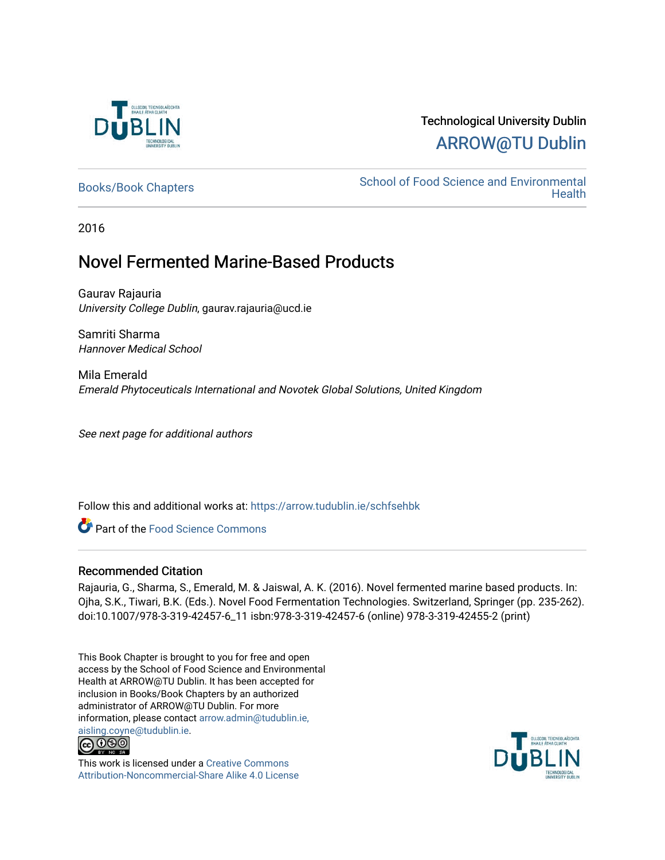

# Technological University Dublin [ARROW@TU Dublin](https://arrow.tudublin.ie/)

[Books/Book Chapters](https://arrow.tudublin.ie/schfsehbk) School of Food Science and Environmental **Health** 

2016

# Novel Fermented Marine-Based Products

Gaurav Rajauria University College Dublin, gaurav.rajauria@ucd.ie

Samriti Sharma Hannover Medical School

Mila Emerald Emerald Phytoceuticals International and Novotek Global Solutions, United Kingdom

See next page for additional authors

Follow this and additional works at: [https://arrow.tudublin.ie/schfsehbk](https://arrow.tudublin.ie/schfsehbk?utm_source=arrow.tudublin.ie%2Fschfsehbk%2F9&utm_medium=PDF&utm_campaign=PDFCoverPages) 

Part of the [Food Science Commons](http://network.bepress.com/hgg/discipline/84?utm_source=arrow.tudublin.ie%2Fschfsehbk%2F9&utm_medium=PDF&utm_campaign=PDFCoverPages) 

### Recommended Citation

Rajauria, G., Sharma, S., Emerald, M. & Jaiswal, A. K. (2016). Novel fermented marine based products. In: Ojha, S.K., Tiwari, B.K. (Eds.). Novel Food Fermentation Technologies. Switzerland, Springer (pp. 235-262). doi:10.1007/978-3-319-42457-6\_11 isbn:978-3-319-42457-6 (online) 978-3-319-42455-2 (print)

This Book Chapter is brought to you for free and open access by the School of Food Science and Environmental Health at ARROW@TU Dublin. It has been accepted for inclusion in Books/Book Chapters by an authorized administrator of ARROW@TU Dublin. For more information, please contact [arrow.admin@tudublin.ie,](mailto:arrow.admin@tudublin.ie,%20aisling.coyne@tudublin.ie)  [aisling.coyne@tudublin.ie.](mailto:arrow.admin@tudublin.ie,%20aisling.coyne@tudublin.ie)<br>© 090



This work is licensed under a [Creative Commons](http://creativecommons.org/licenses/by-nc-sa/4.0/) [Attribution-Noncommercial-Share Alike 4.0 License](http://creativecommons.org/licenses/by-nc-sa/4.0/)

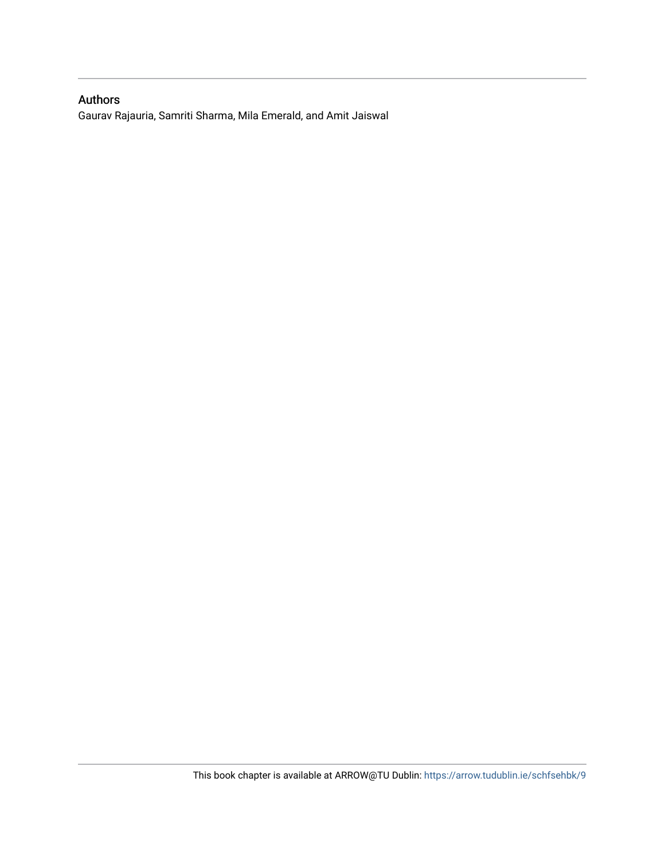# Authors

Gaurav Rajauria, Samriti Sharma, Mila Emerald, and Amit Jaiswal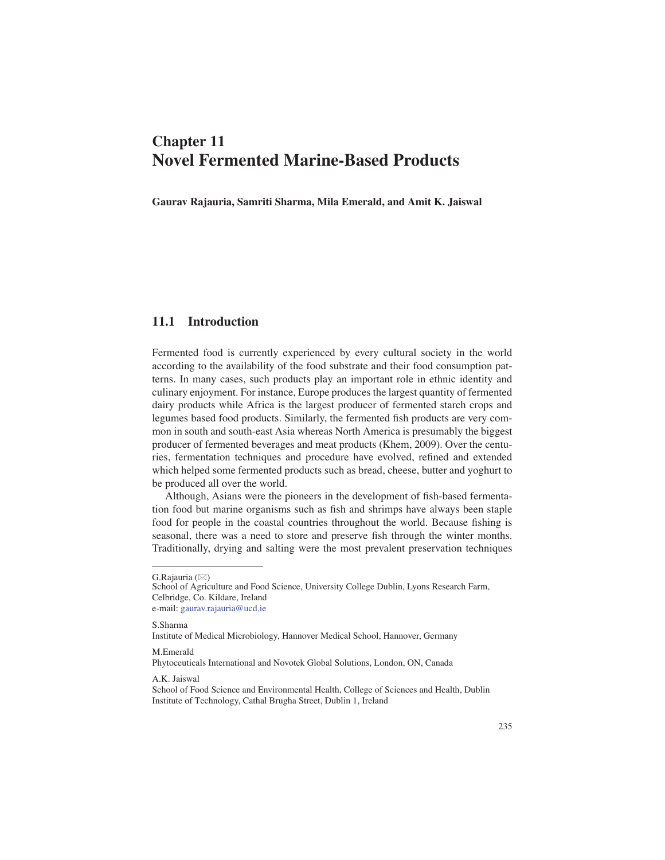# **Chapter 11 Novel Fermented Marine-Based Products**

Gaurav Rajauria, Samriti Sharma, Mila Emerald, and Amit K. Jaiswal

### **11.1 Introduction**

 Fermented food is currently experienced by every cultural society in the world according to the availability of the food substrate and their food consumption patterns. In many cases, such products play an important role in ethnic identity and culinary enjoyment. For instance, Europe produces the largest quantity of fermented dairy products while Africa is the largest producer of fermented starch crops and legumes based food products. Similarly, the fermented fish products are very common in south and south-east Asia whereas North America is presumably the biggest producer of fermented beverages and meat products (Khem, 2009). Over the centuries, fermentation techniques and procedure have evolved, refined and extended which helped some fermented products such as bread, cheese, butter and yoghurt to be produced all over the world.

Although, Asians were the pioneers in the development of fish-based fermentation food but marine organisms such as fish and shrimps have always been staple food for people in the coastal countries throughout the world. Because fishing is seasonal, there was a need to store and preserve fish through the winter months. Traditionally, drying and salting were the most prevalent preservation techniques

S. Sharma

#### M. Emerald

A.K. Jaiswal

G.Rajauria $(\boxtimes)$ 

School of Agriculture and Food Science, University College Dublin, Lyons Research Farm, Celbridge, Co. Kildare, Ireland e-mail: gaurav.rajauria@ucd.ie

Institute of Medical Microbiology, Hannover Medical School, Hannover, Germany

Phytoceuticals International and Novotek Global Solutions, London, ON, Canada

School of Food Science and Environmental Health, College of Sciences and Health, Dublin Institute of Technology, Cathal Brugha Street, Dublin 1, Ireland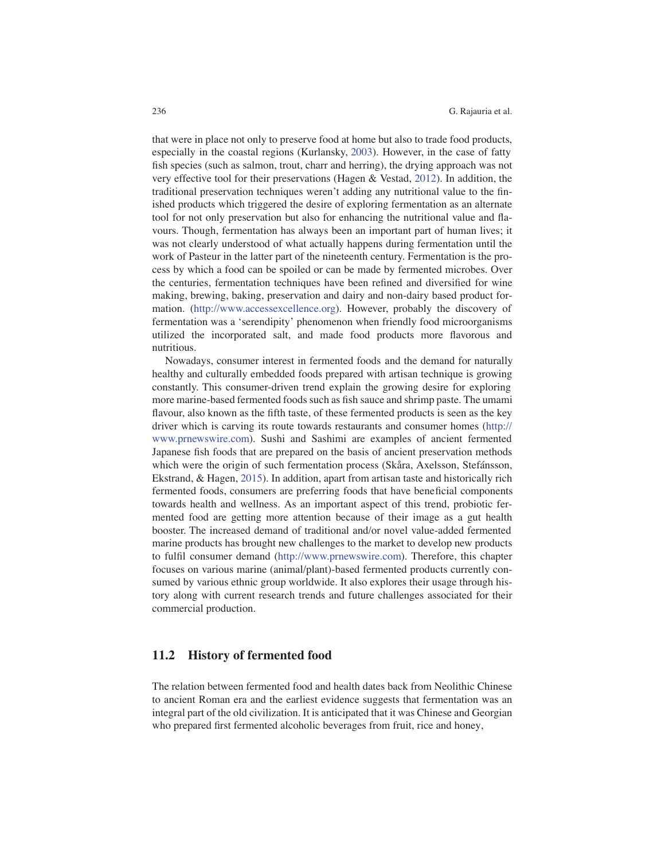that were in place not only to preserve food at home but also to trade food products, especially in the coastal regions (Kurlansky, 2003). However, in the case of fatty fish species (such as salmon, trout, charr and herring), the drying approach was not very effective tool for their preservations (Hagen  $& Vestad, 2012$ ). In addition, the traditional preservation techniques weren't adding any nutritional value to the finished products which triggered the desire of exploring fermentation as an alternate tool for not only preservation but also for enhancing the nutritional value and flavours. Though, fermentation has always been an important part of human lives; it was not clearly understood of what actually happens during fermentation until the work of Pasteur in the latter part of the nineteenth century. Fermentation is the process by which a food can be spoiled or can be made by fermented microbes. Over the centuries, fermentation techniques have been refined and diversified for wine making, brewing, baking, preservation and dairy and non-dairy based product formation. ( http://www.accessexcellence.org). However, probably the discovery of fermentation was a 'serendipity' phenomenon when friendly food microorganisms utilized the incorporated salt, and made food products more flavorous and nutritious.

Nowadays, consumer interest in fermented foods and the demand for naturally healthy and culturally embedded foods prepared with artisan technique is growing constantly. This consumer-driven trend explain the growing desire for exploring more marine-based fermented foods such as fish sauce and shrimp paste. The umami flavour, also known as the fifth taste, of these fermented products is seen as the key driver which is carving its route towards restaurants and consumer homes ( http:// www.prnewswire.com). Sushi and Sashimi are examples of ancient fermented Japanese fish foods that are prepared on the basis of ancient preservation methods which were the origin of such fermentation process (Skåra, Axelsson, Stefánsson, Ekstrand, & Hagen, 2015). In addition, apart from artisan taste and historically rich fermented foods, consumers are preferring foods that have beneficial components towards health and wellness. As an important aspect of this trend, probiotic fermented food are getting more attention because of their image as a gut health booster. The increased demand of traditional and/or novel value-added fermented marine products has brought new challenges to the market to develop new products to fulfil consumer demand (http://www.prnewswire.com). Therefore, this chapter focuses on various marine (animal/plant)-based fermented products currently consumed by various ethnic group worldwide. It also explores their usage through history along with current research trends and future challenges associated for their commercial production.

### **11.2 History of fermented food**

The relation between fermented food and health dates back from Neolithic Chinese to ancient Roman era and the earliest evidence suggests that fermentation was an integral part of the old civilization. It is anticipated that it was Chinese and Georgian who prepared first fermented alcoholic beverages from fruit, rice and honey,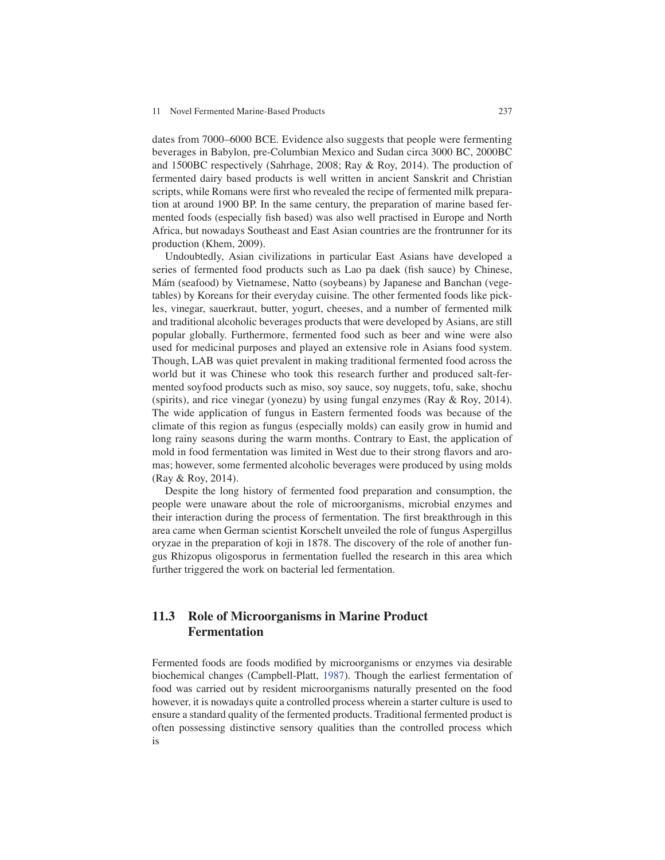#### 11 Novel Fermented Marine-Based Products

dates from 7000–6000 BCE. Evidence also suggests that people were fermenting beverages in Babylon, pre-Columbian Mexico and Sudan circa 3000 BC, 2000BC and 1500BC respectively (Sahrhage, 2008; Ray & Roy, 2014). The production of fermented dairy based products is well written in ancient Sanskrit and Christian scripts, while Romans were first who revealed the recipe of fermented milk preparation at around 1900 BP. In the same century, the preparation of marine based fermented foods (especially fish based) was also well practised in Europe and North Africa, but nowadays Southeast and East Asian countries are the frontrunner for its production (Khem, 2009).

 Undoubtedly, Asian civilizations in particular East Asians have developed a series of fermented food products such as Lao pa daek (fish sauce) by Chinese, Mám (seafood) by Vietnamese, Natto (soybeans) by Japanese and Banchan (vegetables) by Koreans for their everyday cuisine. The other fermented foods like pickles, vinegar, sauerkraut, butter, yogurt, cheeses, and a number of fermented milk and traditional alcoholic beverages products that were developed by Asians, are still popular globally. Furthermore, fermented food such as beer and wine were also used for medicinal purposes and played an extensive role in Asians food system. Though, LAB was quiet prevalent in making traditional fermented food across the world but it was Chinese who took this research further and produced salt-fermented soyfood products such as miso, soy sauce, soy nuggets, tofu, sake, shochu (spirits), and rice vinegar (yonezu) by using fungal enzymes (Ray & Roy, 2014). The wide application of fungus in Eastern fermented foods was because of the climate of this region as fungus (especially molds) can easily grow in humid and long rainy seasons during the warm months. Contrary to East, the application of mold in food fermentation was limited in West due to their strong flavors and aromas; however, some fermented alcoholic beverages were produced by using molds (Ray & Roy, 2014).

 Despite the long history of fermented food preparation and consumption, the people were unaware about the role of microorganisms, microbial enzymes and their interaction during the process of fermentation. The first breakthrough in this area came when German scientist Korschelt unveiled the role of fungus Aspergillus oryzae in the preparation of koji in 1878. The discovery of the role of another fungus Rhizopus oligosporus in fermentation fuelled the research in this area which further triggered the work on bacterial led fermentation.

## **11.3 Role of Microorganisms in Marine Product Fermentation**

Fermented foods are foods modified by microorganisms or enzymes via desirable biochemical changes (Campbell-Platt, 1987). Though the earliest fermentation of food was carried out by resident microorganisms naturally presented on the food however, it is nowadays quite a controlled process wherein a starter culture is used to ensure a standard quality of the fermented products. Traditional fermented product is often possessing distinctive sensory qualities than the controlled process which is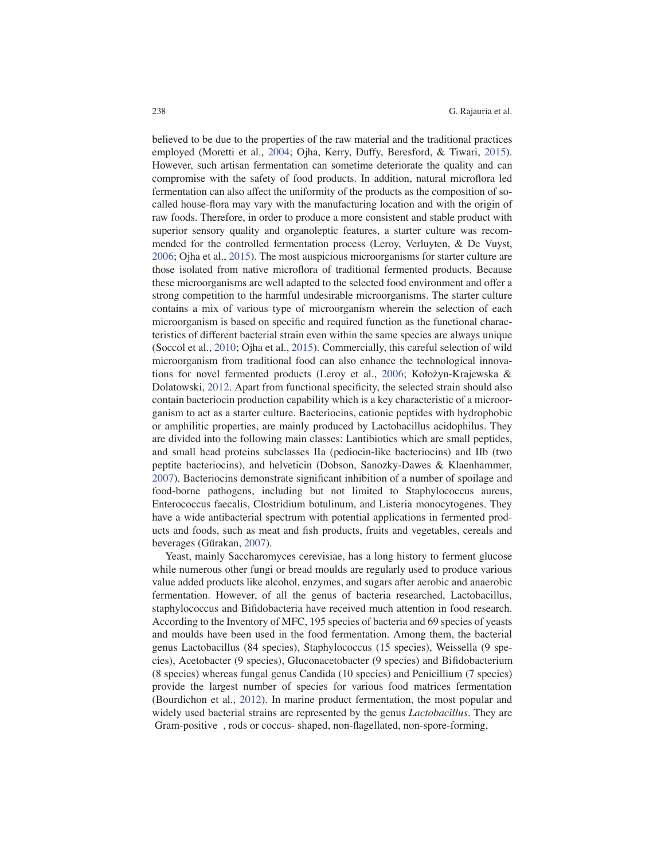believed to be due to the properties of the raw material and the traditional practices employed (Moretti et al., 2004; Ojha, Kerry, Duffy, Beresford, & Tiwari, 2015). However, such artisan fermentation can sometime deteriorate the quality and can compromise with the safety of food products. In addition, natural microflora led fermentation can also affect the uniformity of the products as the composition of socalled house-flora may vary with the manufacturing location and with the origin of raw foods. Therefore, in order to produce a more consistent and stable product with superior sensory quality and organoleptic features, a starter culture was recommended for the controlled fermentation process (Leroy, Verluyten, & De Vuyst, 2006; Ojha et al., 2015). The most auspicious microorganisms for starter culture are those isolated from native microflora of traditional fermented products. Because these microorganisms are well adapted to the selected food environment and offer a strong competition to the harmful undesirable microorganisms. The starter culture contains a mix of various type of microorganism wherein the selection of each microorganism is based on specific and required function as the functional characteristics of different bacterial strain even within the same species are always unique (Soccol et al., 2010; Ojha et al., 2015). Commercially, this careful selection of wild microorganism from traditional food can also enhance the technological innovations for novel fermented products (Leroy et al., 2006; Kołożyn-Krajewska & Dolatowski, 2012. Apart from functional specificity, the selected strain should also contain bacteriocin production capability which is a key characteristic of a microorganism to act as a starter culture. Bacteriocins, cationic peptides with hydrophobic or amphilitic properties, are mainly produced by Lactobacillus acidophilus. They are divided into the following main classes: Lantibiotics which are small peptides, and small head proteins subclasses IIa (pediocin-like bacteriocins) and IIb (two peptite bacteriocins), and helveticin (Dobson, Sanozky-Dawes & Klaenhammer, 2007). Bacteriocins demonstrate significant inhibition of a number of spoilage and food-borne pathogens, including but not limited to Staphylococcus aureus, Enterococcus faecalis, Clostridium botulinum, and Listeria monocytogenes. They have a wide antibacterial spectrum with potential applications in fermented products and foods, such as meat and fish products, fruits and vegetables, cereals and beverages (Gürakan, 2007).

Yeast, mainly Saccharomyces cerevisiae, has a long history to ferment glucose while numerous other fungi or bread moulds are regularly used to produce various value added products like alcohol, enzymes, and sugars after aerobic and anaerobic fermentation. However, of all the genus of bacteria researched, Lactobacillus, staphylococcus and Bifidobacteria have received much attention in food research. According to the Inventory of MFC, 195 species of bacteria and 69 species of yeasts and moulds have been used in the food fermentation. Among them, the bacterial genus Lactobacillus (84 species), Staphylococcus (15 species), Weissella (9 species), Acetobacter (9 species), Gluconacetobacter (9 species) and Bifidobacterium (8 species) whereas fungal genus Candida (10 species) and Penicillium (7 species) provide the largest number of species for various food matrices fermentation (Bourdichon et al., 2012). In marine product fermentation, the most popular and widely used bacterial strains are represented by the genus *Lactobacillus*. They are Gram-positive, rods or coccus- shaped, non-flagellated, non-spore-forming,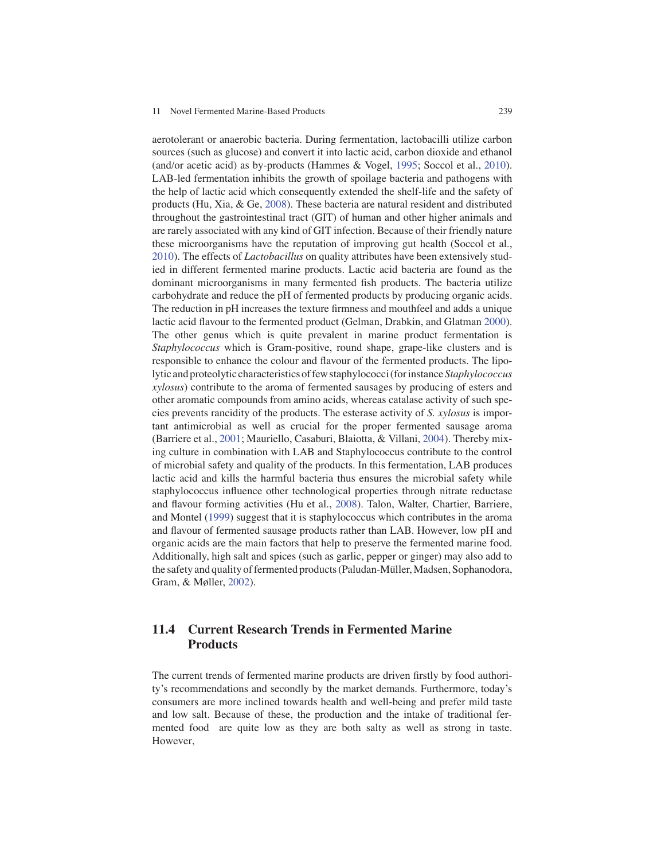aerotolerant or anaerobic bacteria. During fermentation, lactobacilli utilize carbon sources (such as glucose) and convert it into lactic acid, carbon dioxide and ethanol (and/or acetic acid) as by-products (Hammes & Vogel, 1995; Soccol et al., 2010). LAB -led fermentation inhibits the growth of spoilage bacteria and pathogens with the help of lactic acid which consequently extended the shelf-life and the safety of products (Hu, Xia,  $\&$  Ge, 2008). These bacteria are natural resident and distributed throughout the gastrointestinal tract (GIT) of human and other higher animals and are rarely associated with any kind of GIT infection. Because of their friendly nature these microorganisms have the reputation of improving gut health (Soccol et al., 2010). The effects of *Lactobacillus* on quality attributes have been extensively studied in different fermented marine products. Lactic acid bacteria are found as the dominant microorganisms in many fermented fish products. The bacteria utilize carbohydrate and reduce the pH of fermented products by producing organic acids . The reduction in pH increases the texture firmness and mouthfeel and adds a unique lactic acid flavour to the fermented product (Gelman, Drabkin, and Glatman 2000). The other genus which is quite prevalent in marine product fermentation is *Staphylococcus* which is Gram-positive, round shape, grape-like clusters and is responsible to enhance the colour and flavour of the fermented products. The lipolytic and proteolytic characteristics of few staphylococci (for instance *Staphylococcus xylosus* ) contribute to the aroma of fermented sausages by producing of esters and other aromatic compounds from amino acids , whereas catalase activity of such species prevents rancidity of the products. The esterase activity of *S. xylosus* is important antimicrobial as well as crucial for the proper fermented sausage aroma (Barriere et al., 2001; Mauriello, Casaburi, Blaiotta, & Villani, 2004). Thereby mixing culture in combination with LAB and Staphylococcus contribute to the control of microbial safety and quality of the products. In this fermentation, LAB produces lactic acid and kills the harmful bacteria thus ensures the microbial safety while staphylococcus influence other technological properties through nitrate reductase and flavour forming activities (Hu et al., 2008). Talon, Walter, Chartier, Barriere, and Montel (1999) suggest that it is staphylococcus which contributes in the aroma and flavour of fermented sausage products rather than LAB. However, low pH and organic acids are the main factors that help to preserve the fermented marine food. Additionally, high salt and spices (such as garlic, pepper or ginger) may also add to the safety and quality of fermented products (Paludan-Müller, Madsen, Sophanodora, Gram, & Møller, 2002).

## **11.4 Current Research Trends in Fermented Marine Products**

The current trends of fermented marine products are driven firstly by food authority's recommendations and secondly by the market demands. Furthermore, today's consumers are more inclined towards health and well-being and prefer mild taste and low salt. Because of these, the production and the intake of traditional fermented food are quite low as they are both salty as well as strong in taste. However,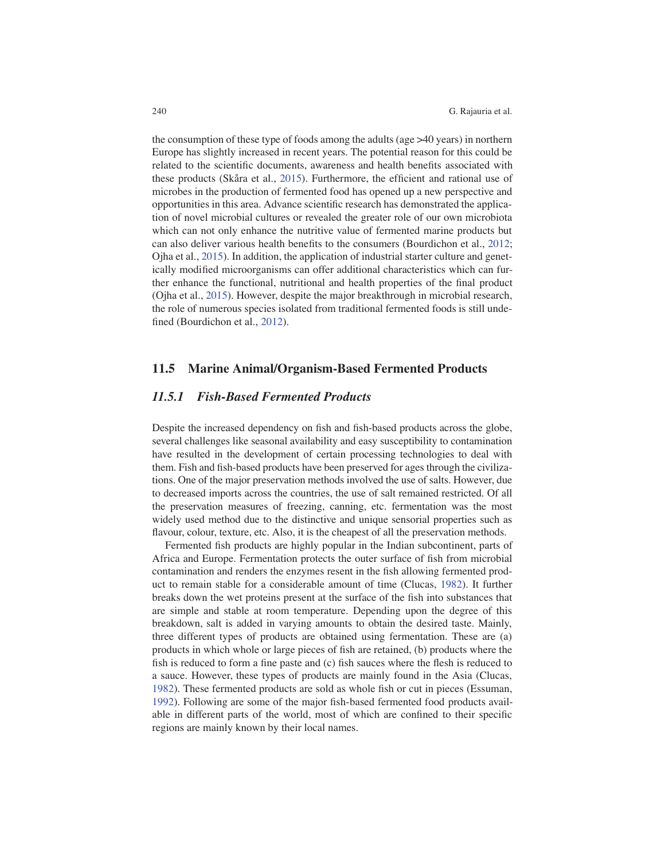the consumption of these type of foods among the adults (age >40 years) in northern Europe has slightly increased in recent years. The potential reason for this could be related to the scientific documents, awareness and health benefits associated with these products (Skåra et al., 2015). Furthermore, the efficient and rational use of microbes in the production of fermented food has opened up a new perspective and opportunities in this area. Advance scientific research has demonstrated the application of novel microbial cultures or revealed the greater role of our own microbiota which can not only enhance the nutritive value of fermented marine products but can also deliver various health benefits to the consumers (Bourdichon et al., 2012; Ojha et al., 2015). In addition, the application of industrial starter culture and genetically modified microorganisms can offer additional characteristics which can further enhance the functional, nutritional and health properties of the final product (Ojha et al., 2015). However, despite the major breakthrough in microbial research, the role of numerous species isolated from traditional fermented foods is still undefined (Bourdichon et al., 2012).

### **11.5 Marine Animal/Organism-Based Fermented Products**

### *11.5.1 Fish-Based Fermented Products*

Despite the increased dependency on fish and fish-based products across the globe, several challenges like seasonal availability and easy susceptibility to contamination have resulted in the development of certain processing technologies to deal with them. Fish and fish-based products have been preserved for ages through the civilizations. One of the major preservation methods involved the use of salts. However, due to decreased imports across the countries, the use of salt remained restricted. Of all the preservation measures of freezing, canning, etc. fermentation was the most widely used method due to the distinctive and unique sensorial properties such as flavour, colour, texture, etc. Also, it is the cheapest of all the preservation methods.

Fermented fish products are highly popular in the Indian subcontinent, parts of Africa and Europe. Fermentation protects the outer surface of fish from microbial contamination and renders the enzymes resent in the fish allowing fermented product to remain stable for a considerable amount of time (Clucas, 1982). It further breaks down the wet proteins present at the surface of the fish into substances that are simple and stable at room temperature. Depending upon the degree of this breakdown, salt is added in varying amounts to obtain the desired taste. Mainly, three different types of products are obtained using fermentation. These are (a) products in which whole or large pieces of fish are retained, (b) products where the fish is reduced to form a fine paste and (c) fish sauces where the flesh is reduced to a sauce. However, these types of products are mainly found in the Asia (Clucas, 1982). These fermented products are sold as whole fish or cut in pieces (Essuman, 1992). Following are some of the major fish-based fermented food products available in different parts of the world, most of which are confined to their specific regions are mainly known by their local names.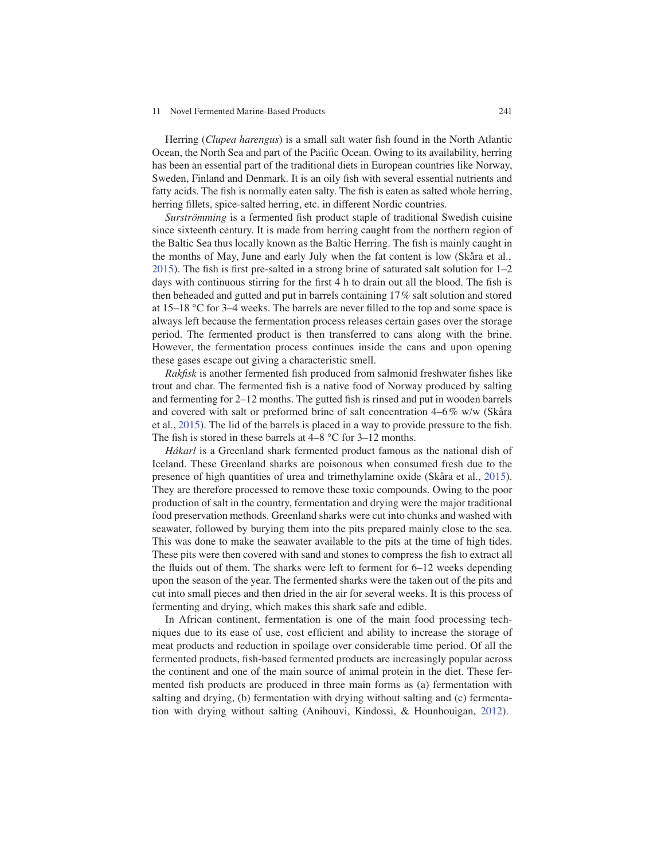#### 11 Novel Fermented Marine-Based Products 241

Herring *(Clupea harengus)* is a small salt water fish found in the North Atlantic Ocean, the North Sea and part of the Pacific Ocean. Owing to its availability, herring has been an essential part of the traditional diets in European countries like Norway, Sweden, Finland and Denmark. It is an oily fish with several essential nutrients and fatty acids. The fish is normally eaten salty. The fish is eaten as salted whole herring, herring fillets, spice-salted herring, etc. in different Nordic countries.

*Surströmming* is a fermented fish product staple of traditional Swedish cuisine since sixteenth century. It is made from herring caught from the northern region of the Baltic Sea thus locally known as the Baltic Herring. The fish is mainly caught in the months of May, June and early July when the fat content is low (Skåra et al., 2015). The fish is first pre-salted in a strong brine of saturated salt solution for  $1-2$ days with continuous stirring for the first 4 h to drain out all the blood. The fish is then beheaded and gutted and put in barrels containing 17% salt solution and stored at 15–18  $\degree$ C for 3–4 weeks. The barrels are never filled to the top and some space is always left because the fermentation process releases certain gases over the storage period. The fermented product is then transferred to cans along with the brine. However, the fermentation process continues inside the cans and upon opening these gases escape out giving a characteristic smell.

*Rakfisk* is another fermented fish produced from salmonid freshwater fishes like trout and char. The fermented fish is a native food of Norway produced by salting and fermenting for 2–12 months. The gutted fish is rinsed and put in wooden barrels and covered with salt or preformed brine of salt concentration  $4-6\%$  w/w (Skåra et al., 2015). The lid of the barrels is placed in a way to provide pressure to the fish. The fish is stored in these barrels at  $4-8$  °C for 3–12 months.

*Hákarl* is a Greenland shark fermented product famous as the national dish of Iceland. These Greenland sharks are poisonous when consumed fresh due to the presence of high quantities of urea and trimethylamine oxide (Skåra et al., 2015). They are therefore processed to remove these toxic compounds. Owing to the poor production of salt in the country, fermentation and drying were the major traditional food preservation methods. Greenland sharks were cut into chunks and washed with seawater, followed by burying them into the pits prepared mainly close to the sea. This was done to make the seawater available to the pits at the time of high tides. These pits were then covered with sand and stones to compress the fish to extract all the fluids out of them. The sharks were left to ferment for  $6-12$  weeks depending upon the season of the year. The fermented sharks were the taken out of the pits and cut into small pieces and then dried in the air for several weeks. It is this process of fermenting and drying, which makes this shark safe and edible.

In African continent, fermentation is one of the main food processing techniques due to its ease of use, cost efficient and ability to increase the storage of meat products and reduction in spoilage over considerable time period. Of all the fermented products, fish-based fermented products are increasingly popular across the continent and one of the main source of animal protein in the diet. These fermented fish products are produced in three main forms as (a) fermentation with salting and drying, (b) fermentation with drying without salting and (c) fermentation with drying without salting (Anihouvi, Kindossi, & Hounhouigan, 2012).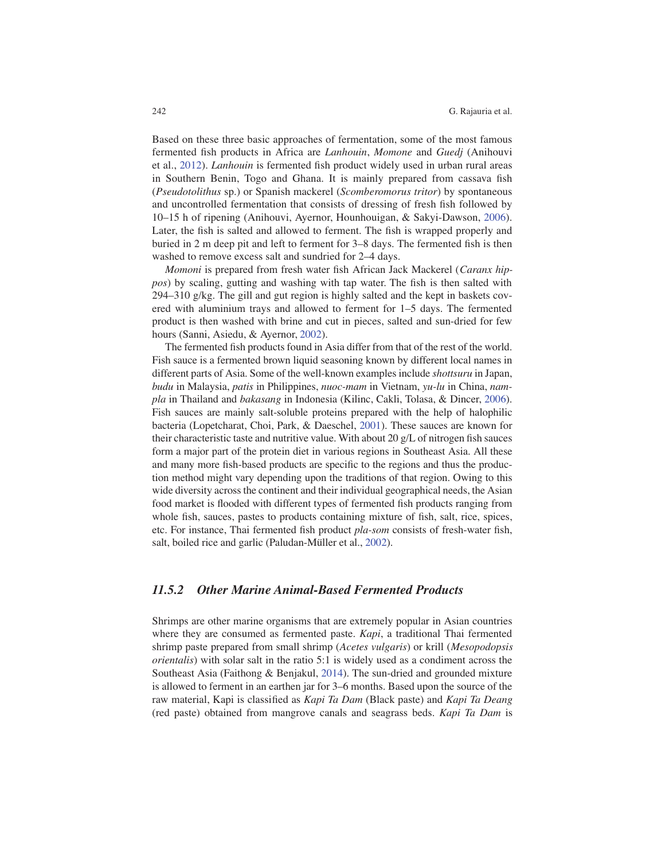Based on these three basic approaches of fermentation, some of the most famous fermented fish products in Africa are *Lanhouin*, *Momone* and *Guedi* (Anihouvi et al., 2012). *Lanhouin* is fermented fish product widely used in urban rural areas in Southern Benin, Togo and Ghana. It is mainly prepared from cassava fish (*Pseudotolithus* sp.) or Spanish mackerel (*Scomberomorus tritor*) by spontaneous and uncontrolled fermentation that consists of dressing of fresh fish followed by 10–15 h of ripening (Anihouvi, Ayernor, Hounhouigan, & Sakyi-Dawson, 2006). Later, the fish is salted and allowed to ferment. The fish is wrapped properly and buried in 2 m deep pit and left to ferment for  $3-8$  days. The fermented fish is then washed to remove excess salt and sundried for 2–4 days.

*Momoni* is prepared from fresh water fish African Jack Mackerel (*Caranx hippos*) by scaling, gutting and washing with tap water. The fish is then salted with  $294-310$  g/kg. The gill and gut region is highly salted and the kept in baskets covered with aluminium trays and allowed to ferment for 1–5 days. The fermented product is then washed with brine and cut in pieces, salted and sun- dried for few hours (Sanni, Asiedu, & Ayernor, 2002).

The fermented fish products found in Asia differ from that of the rest of the world. Fish sauce is a fermented brown liquid seasoning known by different local names in different parts of Asia. Some of the well-known examples include *shottsuru* in Japan, *budu* in Malaysia, *patis* in Philippines, *nuoc-mam* in Vietnam, *yu-lu* in China, *nampla* in Thailand and *bakasang* in Indonesia (Kilinc, Cakli, Tolasa, & Dincer, 2006). Fish sauces are mainly salt-soluble proteins prepared with the help of halophilic bacteria (Lopetcharat, Choi, Park, & Daeschel, 2001). These sauces are known for their characteristic taste and nutritive value. With about 20  $g/L$  of nitrogen fish sauces form a major part of the protein diet in various regions in Southeast Asia. All these and many more fish-based products are specific to the regions and thus the production method might vary depending upon the traditions of that region. Owing to this wide diversity across the continent and their individual geographical needs, the Asian food market is flooded with different types of fermented fish products ranging from whole fish, sauces, pastes to products containing mixture of fish, salt, rice, spices, etc. For instance, Thai fermented fish product *pla-som* consists of fresh-water fish, salt, boiled rice and garlic (Paludan-Müller et al., 2002).

### *11.5.2 Other Marine Animal-Based Fermented Products*

Shrimps are other marine organisms that are extremely popular in Asian countries where they are consumed as fermented paste. *Kapi*, a traditional Thai fermented shrimppaste prepared from small shrimp (*Acetes vulgaris*) or krill (*Mesopodopsis orientalis*) with solar salt in the ratio 5:1 is widely used as a condiment across the Southeast Asia (Faithong & Benjakul, 2014). The sun-dried and grounded mixture is allowed to ferment in an earthen jar for 3–6 months. Based upon the source of the raw material, Kapi is classified as *Kapi Ta Dam* (Black paste) and *Kapi Ta Deang* (red paste) obtained from mangrove canals and seagrass beds. *Kapi Ta Dam* is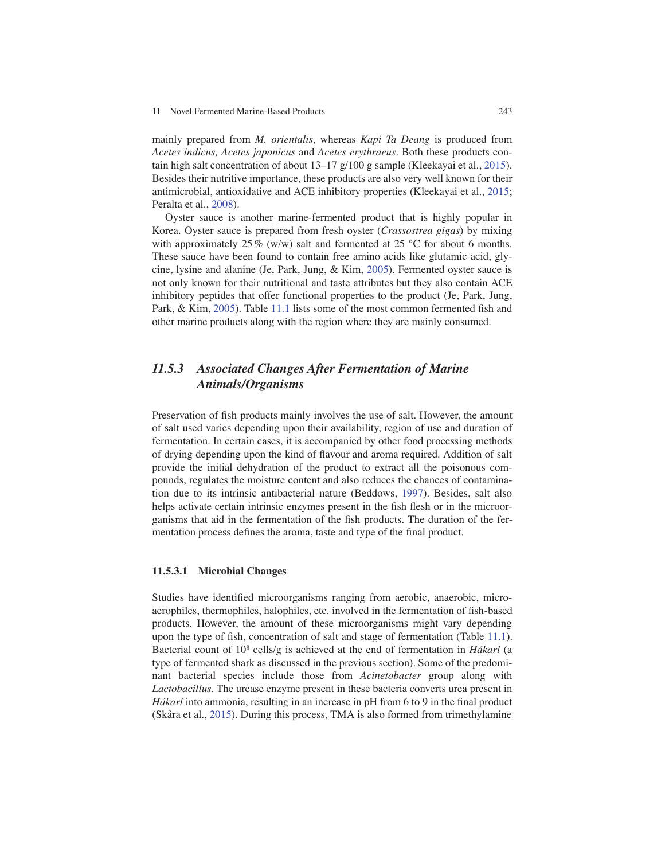mainly prepared from *M. orientalis* , whereas *Kapi Ta Deang* is produced from *Acetes indicus, Acetes japonicus* and *Acetes erythraeus* . Both these products contain high salt concentration of about 13–17 g/100 g sample (Kleekayai et al., 2015). Besides their nutritive importance, these products are also very well known for their antimicrobial, antioxidative and ACE inhibitory properties (Kleekayai et al., 2015; Peralta et al., 2008).

Oyster sauce is another marine-fermented product that is highly popular in Korea. Oyster sauce is prepared from fresh oyster ( *Crassostrea gigas* ) by mixing with approximately 25 % (w/w) salt and fermented at 25 °C for about 6 months. These sauce have been found to contain free amino acids like glutamic acid, glycine, lysine and alanine (Je, Park, Jung, & Kim, 2005 ). Fermented oyster sauce is not only known for their nutritional and taste attributes but they also contain ACE inhibitory peptides that offer functional properties to the product (Je, Park, Jung, Park,  $&$  Kim, 2005). Table 11.1 lists some of the most common fermented fish and other marine products along with the region where they are mainly consumed.

## *11.5.3 Associated Changes After Fermentation of Marine Animals/Organisms*

Preservation of fish products mainly involves the use of salt. However, the amount of salt used varies depending upon their availability, region of use and duration of fermentation. In certain cases, it is accompanied by other food processing methods of drying depending upon the kind of flavour and aroma required. Addition of salt provide the initial dehydration of the product to extract all the poisonous compounds, regulates the moisture content and also reduces the chances of contamination due to its intrinsic antibacterial nature (Beddows, 1997). Besides, salt also helps activate certain intrinsic enzymes present in the fish flesh or in the microorganisms that aid in the fermentation of the fish products. The duration of the fermentation process defines the aroma, taste and type of the final product.

### **11.5.3.1 Microbial Changes**

Studies have identified microorganisms ranging from aerobic, anaerobic, microaerophiles, thermophiles, halophiles, etc. involved in the fermentation of fish-based products. However, the amount of these microorganisms might vary depending upon the type of fish, concentration of salt and stage of fermentation (Table 11.1). Bacterial count of 10<sup>8</sup> cells/g is achieved at the end of fermentation in *Hákarl* (a type of fermented shark as discussed in the previous section). Some of the predominant bacterial species include those from *Acinetobacter* group along with *Lactobacillus*. The urease enzyme present in these bacteria converts urea present in *Hákarl* into ammonia, resulting in an increase in pH from 6 to 9 in the final product (Skåra et al., 2015). During this process, TMA is also formed from trimethylamine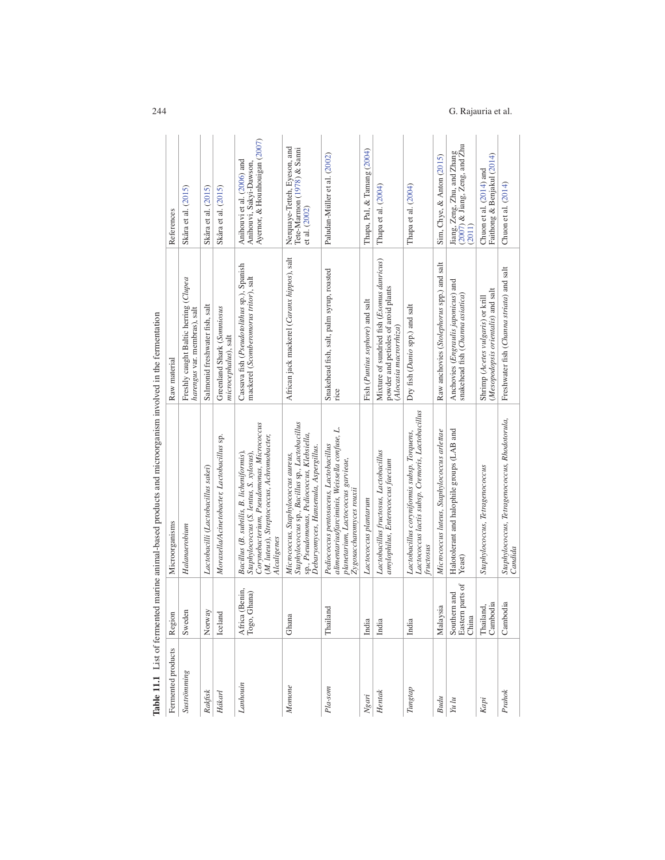|                    |                                                                                | Table 11.1 List of fermented marine animal-based products and microorganism involved in the fermentation                                                                                       |                                                                                                             |                                                                                       |
|--------------------|--------------------------------------------------------------------------------|------------------------------------------------------------------------------------------------------------------------------------------------------------------------------------------------|-------------------------------------------------------------------------------------------------------------|---------------------------------------------------------------------------------------|
| Fermented products | Region                                                                         | Microorganisms                                                                                                                                                                                 | Raw material                                                                                                | References                                                                            |
| Suströmming        | Sweden                                                                         | Halanaerobium                                                                                                                                                                                  | Freshly caught Baltic herring (Clupea<br>harengus var. membras), salt                                       | Skåra et al. (2015)                                                                   |
| Rakfisk            | Norway                                                                         | Lactobacilli (Lactobacillus sakei)                                                                                                                                                             | Salmonid freshwater fish, salt                                                                              | Skåra et al. (2015)                                                                   |
| <b>Hákarl</b>      | Iceland                                                                        | Moraxella/Acinetobacter, Lactobacillus sp.                                                                                                                                                     | Greenland Shark (Somniosus<br>microcephalus), salt                                                          | Skåra et al. (2015)                                                                   |
| Lanhouin           | (Benin,<br>Africa (Benin,<br>Togo, Ghana)                                      | Corynebacterium, Pseudomonas, Micrococcus<br>(M. luteus), Streptococcus, Achromobacter,<br>Bacillus (B. subtilis, B. licheniformis),<br>Staphylococcus (S. lentus, S. xylosus).<br>Alcaligenes | Cassava fish (Pseudotolithus sp.), Spanish<br>mackerel (Scomberomorus tritor), salt                         | Ayemor, & Hounhouigan (2007)<br>Anihouvi et al. (2006) and<br>Anihouvi, Sakyi-Dawson, |
| Monone             | Ghana                                                                          | Staphylococcus sp., Bacillus sp., Lactobacillus<br>sp., Pseudomonas, Pediococcus, Klebsiella,<br>Debaryomyces, Hansenula, Aspergillus.<br>Micrococcus, Staphylococcus aureus,                  | African jack mackerel (Caranx hippos), salt                                                                 | Nerquaye-Tetteh, Eyeson, and<br>Tete-Marmon (1978) & Sanni<br>et al. (2002)           |
| Pla-som            | Thailand                                                                       | alimentarius/farciminis, Weissella confuse, L.<br>Pediococcus pentosaceus, Lactobacillus<br>planetarium, Lactococcus garvieae,<br>Zygosaccharomyces rouxii                                     | Snakehead fish, salt, palm syrup, roasted<br>rice                                                           | Paludan-Müller et al. (2002)                                                          |
| Ngari              | India                                                                          | Lactococcus plantarum                                                                                                                                                                          | Fish (Puntius sophore) and salt                                                                             | Thapa, Pal, & Tamang (2004)                                                           |
| Hentak             | India                                                                          | Lactobacillus fructosus, Lactobacillus<br>amylophilus, Enterococcus faecium                                                                                                                    | Mixture of sundried fish (Esomus danricus)<br>powder and petioles of aroid plants<br>(Alocasia macrorrhiza) | Thapa et al. (2004)                                                                   |
| Tungtap            | India                                                                          | Lactococcus lactis subsp. Cremoris, Lactobacillus<br>Lactobacillus coryniformis subsp. Torquens,<br>fructosus                                                                                  | Dry fish (Danio spp.) and salt                                                                              | Thapa et al. (2004)                                                                   |
| <b>Budu</b>        | Malaysia                                                                       | Micrococcus luteus, Staphylococcus arlettae                                                                                                                                                    | Raw anchovies (Stolephorus spp.) and salt                                                                   | Sim, Chye, & Anton (2015)                                                             |
| Yu lu              | $\begin{tabular}{ l } Southern and \\ Eastern parts of \end{tabular}$<br>China | Halotolerant and halophile groups (LAB and<br>Yeast)                                                                                                                                           | Anchovies (Engraulis japonicus) and<br>snakehead fish (Channa asiatica)                                     | $(2007)$ & Jiang, Zeng, and Zhu<br>Jiang, Zeng, Zhu, and Zhang<br>(2011)              |
| Kapi               | Thailand,<br>Cambodia                                                          | Staphylococcus, Tetragenococcus                                                                                                                                                                | (Mesopodopsis orientalis) and salt<br>Shrimp (Acetes vulgaris) or krill                                     | Faithong & Benjakul (2014)<br>Chuon et al. (2014) and                                 |
| Prahok             | Cambodia                                                                       | Staphylococcus, Tetragenococcus, Rhodotorula,<br>Candida                                                                                                                                       | Freshwater fish (Channa striata) and salt                                                                   | Chuon et al. (2014)                                                                   |

244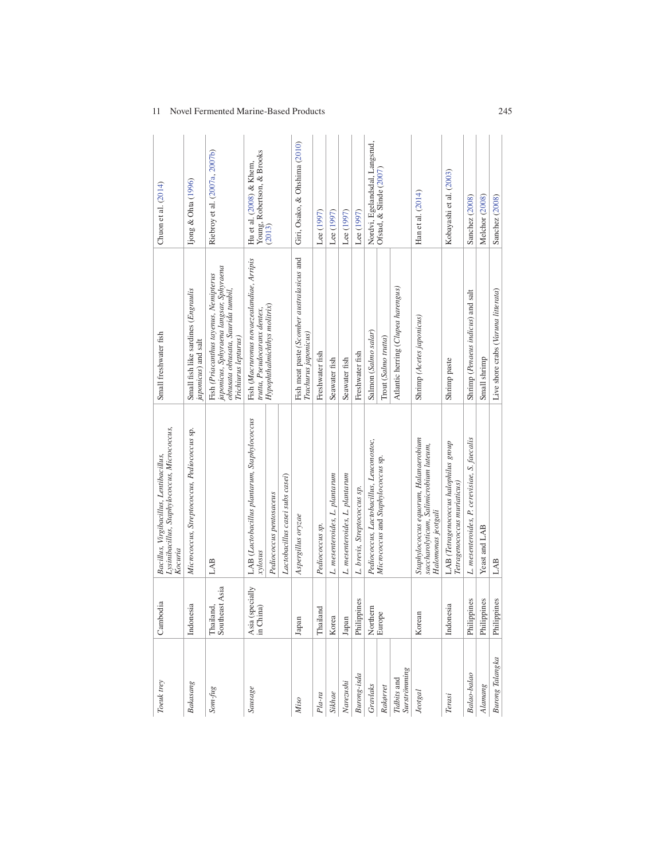| Toeuk trey                  | Cambodia                     | Lysinibacillus, Staphylococcus, Micrococcus,<br>Bacillus, Virgibacillus, Lentibacillus,<br>Kocuria    | Small freshwater fish                                                                                                                          | Chuon et al. (2014)                                              |
|-----------------------------|------------------------------|-------------------------------------------------------------------------------------------------------|------------------------------------------------------------------------------------------------------------------------------------------------|------------------------------------------------------------------|
| Bakasang                    | Indonesia                    | Micrococcus, Streptococcus, Pediococcus sp.                                                           | Small fish like sardines (Engraulis<br>iaponicus) and salt                                                                                     | Ijong & Ohta (1996)                                              |
| Som-fug                     | Southeast Asia<br>Thailand,  | LAB                                                                                                   | japonicus, Sphyraena langsar, Sphyraena<br>Fish (Priacanthus tayenus, Nemipterus<br>obtusata obtusata, Saurida tumbil,<br>Trichiurus lepturus) | Riebroy et al. (2007a, 2007b)                                    |
| Sausage                     | Asia (specially<br>in China) | LAB (Lactobacillus plantarum, Staphylococcus<br>xylosus                                               | Fish (Macruronus novaezealandiae, Arripis<br>trutta, Pseudocaranx dentex,                                                                      | Young, Robertson, & Brooks<br>(2013)<br>Hu et al. (2008) & Khem, |
|                             |                              | Pediococcus pentosaceus                                                                               | Hypophthalmichthys molitrix)                                                                                                                   |                                                                  |
|                             |                              | Lactobacillus casei subs casei)                                                                       |                                                                                                                                                |                                                                  |
| Miso                        | Japan                        | Aspergillus oryzae                                                                                    | Fish meat paste (Scomber australasicus and<br>Trachurus japonicus)                                                                             | Giri, Osako, & Ohshima (2010)                                    |
| $Pla$ -ra                   | Thailand                     | Pediococcus sp.                                                                                       | Freshwater fish                                                                                                                                | Lee (1997)                                                       |
| Sikhae                      | Korea                        | L. mesenteroides, L. plantarum                                                                        | Seawater fish                                                                                                                                  | Lee (1997)                                                       |
| Narezushi                   | Japan                        | L. mesenteroides, L. plantarum                                                                        | Seawater fish                                                                                                                                  | Lee (1997)                                                       |
| Burong-isda                 | Philippines                  | L. brevis, Streptococcus sp.                                                                          | Freshwater fish                                                                                                                                | Lee (1997)                                                       |
| Gravlaks                    | Northern                     | Pediococcus, Lactobacillus, Leuconostoc,                                                              | Salmon (Salmo salar)                                                                                                                           | Nordvi, Egelandsdal, Langsrud,                                   |
| Rakørret                    | Europe                       | Micrococcus and Staphylococcus sp.                                                                    | Trout (Salmo trutta)                                                                                                                           | Ofstad, & Slinde (2007)                                          |
| Surströmming<br>Tidbits and |                              |                                                                                                       | Atlantic herring (Clupea harengus)                                                                                                             |                                                                  |
| ${\it Jeotgal}$             | Korean                       | Staphylococcus equorum, Halanaenobium<br>saccharolyticum, Salimicrobium luteum,<br>Halomonas jeotgali | Shrimp (Acetes japonicus)                                                                                                                      | Han et al. (2014)                                                |
| Terasi                      | Indonesia                    | LAB (Tetragenococcus halophilus group<br>Tetragenococcus muriaticus)                                  | Shrimp paste                                                                                                                                   | Kobayashi et al. (2003)                                          |
| Balao-balao                 | Philippines                  | L. mesenteroides, P. cerevisiae, S. faecalis                                                          | Shrimp (Penaeus indicus) and salt                                                                                                              | Sanchez (2008)                                                   |
| Alamang                     | Philippines                  | Yeast and LAB                                                                                         | Small shrimp                                                                                                                                   | Melchor (2008)                                                   |
| Burong Talangka             | Philippines                  | LAB                                                                                                   | Live shore crabs (Varuna litterata)                                                                                                            | Sanchez (2008)                                                   |
|                             |                              |                                                                                                       |                                                                                                                                                |                                                                  |

#### 11 Novel Fermented Marine-Based Products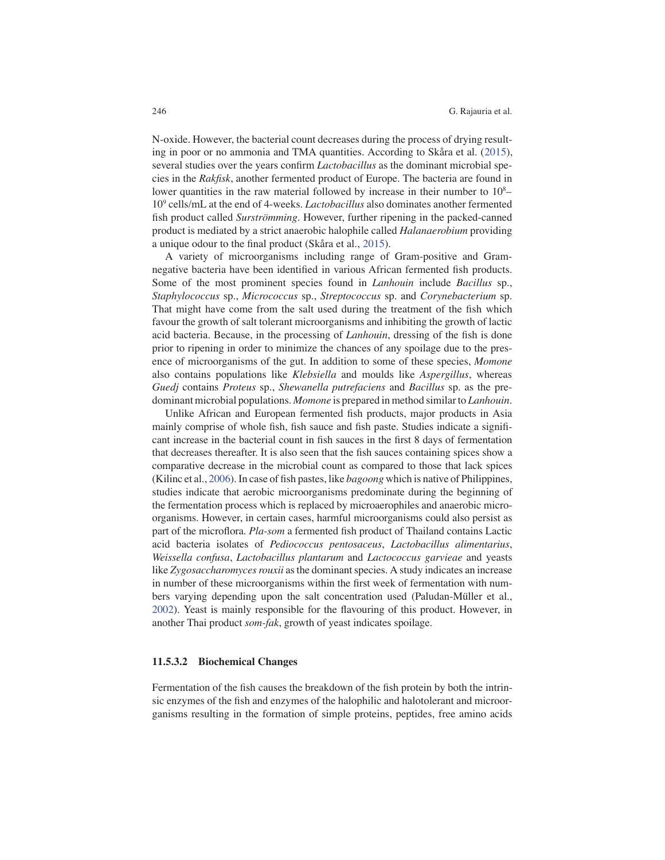N-oxide. However, the bacterial count decreases during the process of drying resulting in poor or no ammonia and TMA quantities. According to Skåra et al. (2015), several studies over the years confirm *Lactobacillus* as the dominant microbial species in the *Rakfisk*, another fermented product of Europe. The bacteria are found in lower quantities in the raw material followed by increase in their number to  $10<sup>8</sup>$ – 10<sup>9</sup> cells/mL at the end of 4-weeks. *Lactobacillus* also dominates another fermented fish product called *Surströmming*. However, further ripening in the packed-canned product is mediated by a strict anaerobic halophile called *Halanaerobium* providing a unique odour to the final product (Skåra et al., 2015).

A variety of microorganisms including range of Gram-positive and Gramnegative bacteria have been identified in various African fermented fish products. Some of the most prominent species found in *Lanhouin* include *Bacillus* sp. , *Staphylococcus* sp. , *Micrococcus* sp., *Streptococcus* sp. and *Corynebacterium* sp. That might have come from the salt used during the treatment of the fish which favour the growth of salt tolerant microorganisms and inhibiting the growth of lactic acid bacteria. Because, in the processing of *Lanhouin*, dressing of the fish is done prior to ripening in order to minimize the chances of any spoilage due to the presence of microorganisms of the gut. In addition to some of these species, *Momone* also contains populations like *Klebsiella* and moulds like *Aspergillus*, whereas *Guedj* contains *Proteus* sp., *Shewanella putrefaciens* and *Bacillus* sp. as the predominant microbial populations. *Momone* is prepared in method similar to *Lanhouin*.

Unlike African and European fermented fish products, major products in Asia mainly comprise of whole fish, fish sauce and fish paste. Studies indicate a significant increase in the bacterial count in fish sauces in the first 8 days of fermentation that decreases thereafter. It is also seen that the fish sauces containing spices show a comparative decrease in the microbial count as compared to those that lack spices (Kilinc et al., 2006). In case of fish pastes, like *bagoong* which is native of Philippines, studies indicate that aerobic microorganisms predominate during the beginning of the fermentation process which is replaced by microaerophiles and anaerobic microorganisms. However, in certain cases, harmful microorganisms could also persist as part of the microflora. *Pla-som* a fermented fish product of Thailand contains Lactic acid bacteria isolates of *Pediococcus pentosaceus*, *Lactobacillus alimentarius*, *Weissella confusa*, *Lactobacillus plantarum* and *Lactococcus garvieae* and yeasts like *Zygosaccharomyces rouxii* as the dominant species. A study indicates an increase in number of these microorganisms within the first week of fermentation with numbers varying depending upon the salt concentration used (Paludan-Müller et al., 2002). Yeast is mainly responsible for the flavouring of this product. However, in another Thai product *som-fak*, growth of yeast indicates spoilage.

#### **11.5.3.2 Biochemical Changes**

Fermentation of the fish causes the breakdown of the fish protein by both the intrinsic enzymes of the fish and enzymes of the halophilic and halotolerant and microorganisms resulting in the formation of simple proteins, peptides, free amino acids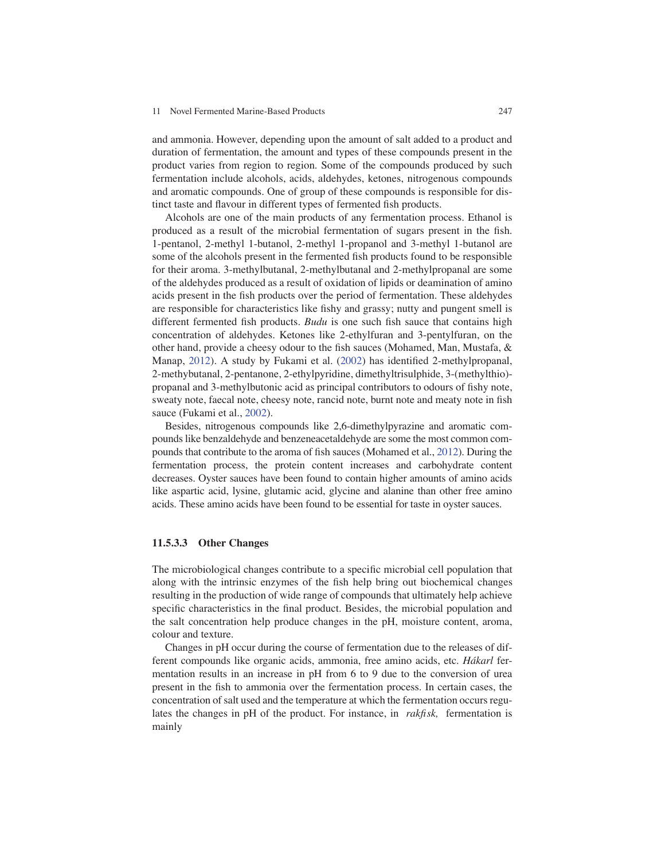and ammonia. However, depending upon the amount of salt added to a product and duration of fermentation, the amount and types of these compounds present in the product varies from region to region. Some of the compounds produced by such fermentation include alcohols, acids, aldehydes , ketones , nitrogenous compounds and aromatic compounds. One of group of these compounds is responsible for distinct taste and flavour in different types of fermented fish products.

 Alcohols are one of the main products of any fermentation process. Ethanol is produced as a result of the microbial fermentation of sugars present in the fish. 1-pentanol, 2-methyl 1-butanol, 2-methyl 1-propanol and 3-methyl 1-butanol are some of the alcohols present in the fermented fish products found to be responsible for their aroma. 3-methylbutanal, 2-methylbutanal and 2- methylpropanal are some of the aldehydes produced as a result of oxidation of lipids or deamination of amino acids present in the fish products over the period of fermentation. These aldehydes are responsible for characteristics like fishy and grassy; nutty and pungent smell is different fermented fish products. *Budu* is one such fish sauce that contains high concentration of aldehydes . Ketones like 2-ethylfuran and 3-pentylfuran, on the other hand, provide a cheesy odour to the fish sauces (Mohamed, Man, Mustafa, & Manap, 2012). A study by Fukami et al. (2002) has identified 2-methylpropanal, 2-methybutanal, 2-pentanone, 2- ethylpyridine, dimethyltrisulphide, 3-(methylthio) propanal and 3-methylbutonic acid as principal contributors to odours of fishy note, sweaty note, faecal note, cheesy note, rancid note, burnt note and meaty note in fish sauce (Fukami et al., 2002).

Besides, nitrogenous compounds like 2,6-dimethylpyrazine and aromatic compounds like benzaldehyde and benzeneacetaldehyde are some the most common compounds that contribute to the aroma of fish sauces (Mohamed et al.,  $2012$ ). During the fermentation process, the protein content increases and carbohydrate content decreases. Oyster sauces have been found to contain higher amounts of amino acids like aspartic acid, lysine, glutamic acid, glycine and alanine than other free amino acids. These amino acids have been found to be essential for taste in oyster sauces.

#### **11.5.3.3 Other Changes**

The microbiological changes contribute to a specific microbial cell population that along with the intrinsic enzymes of the fish help bring out biochemical changes resulting in the production of wide range of compounds that ultimately help achieve specific characteristics in the final product. Besides, the microbial population and the salt concentration help produce changes in the pH, moisture content, aroma, colour and texture.

Changes in pH occur during the course of fermentation due to the releases of different compounds like organic acids, ammonia, free amino acids, etc. *Hákarl* fermentation results in an increase in pH from 6 to 9 due to the conversion of urea present in the fish to ammonia over the fermentation process. In certain cases, the concentration of salt used and the temperature at which the fermentation occurs regulates the changes in pH of the product. For instance, in *rakfi sk,* fermentation is mainly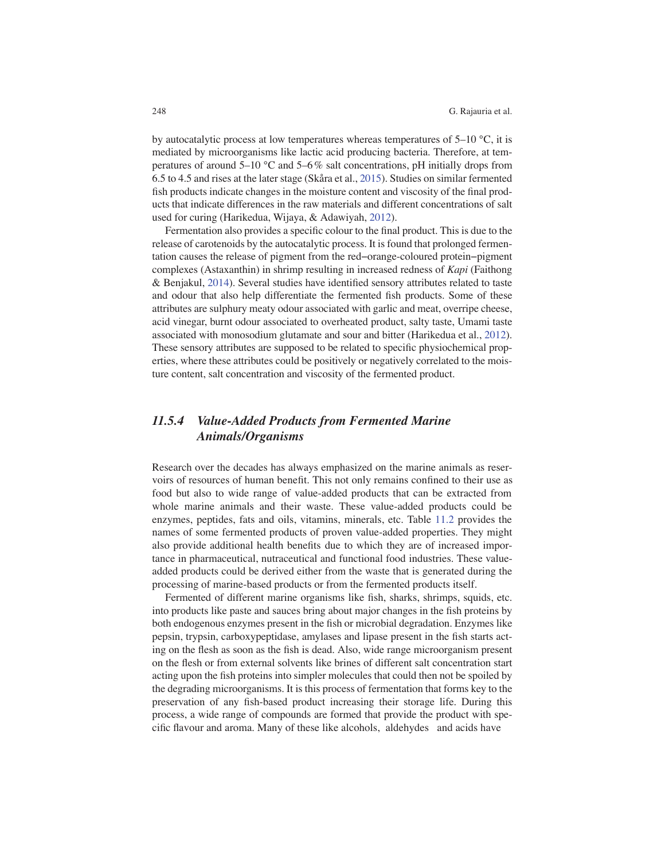by autocatalytic process at low temperatures whereas temperatures of  $5-10$  °C, it is mediated by microorganisms like lactic acid producing bacteria. Therefore, at temperatures of around  $5-10$  °C and  $5-6\%$  salt concentrations, pH initially drops from 6.5 to 4.5 and rises at the later stage (Skåra et al., 2015 ). Studies on similar fermented fish products indicate changes in the moisture content and viscosity of the final products that indicate differences in the raw materials and different concentrations of salt used for curing (Harikedua, Wijaya, & Adawiyah, 2012).

Fermentation also provides a specific colour to the final product. This is due to the release of carotenoids by the autocatalytic process. It is found that prolonged fermentation causes the release of pigment from the red−orange-coloured protein−pigment complexes (Astaxanthin) in shrimp resulting in increased redness of *Kapi* (Faithong  $& Benjakul, 2014$ ). Several studies have identified sensory attributes related to taste and odour that also help differentiate the fermented fish products. Some of these attributes are sulphury meaty odour associated with garlic and meat , overripe cheese, acid vinegar, burnt odour associated to overheated product, salty taste, Umami taste associated with monosodium glutamate and sour and bitter (Harikedua et al., 2012 ). These sensory attributes are supposed to be related to specific physiochemical properties, where these attributes could be positively or negatively correlated to the moisture content, salt concentration and viscosity of the fermented product.

## *11.5.4 Value-Added Products from Fermented Marine Animals/Organisms*

Research over the decades has always emphasized on the marine animals as reservoirs of resources of human benefit. This not only remains confined to their use as food but also to wide range of value-added products that can be extracted from whole marine animals and their waste. These value-added products could be enzymes, peptides, fats and oils, vitamins, minerals, etc. Table 11.2 provides the names of some fermented products of proven value-added properties. They might also provide additional health benefits due to which they are of increased importance in pharmaceutical , nutraceutical and functional food industries. These valueadded products could be derived either from the waste that is generated during the processing of marine-based products or from the fermented products itself.

Fermented of different marine organisms like fish, sharks, shrimps, squids, etc. into products like paste and sauces bring about major changes in the fish proteins by both endogenous enzymes present in the fish or microbial degradation. Enzymes like pepsin, trypsin, carboxypeptidase, amylases and lipase present in the fish starts acting on the flesh as soon as the fish is dead. Also, wide range microorganism present on the flesh or from external solvents like brines of different salt concentration start acting upon the fish proteins into simpler molecules that could then not be spoiled by the degrading microorganisms. It is this process of fermentation that forms key to the preservation of any fish-based product increasing their storage life. During this process, a wide range of compounds are formed that provide the product with specific flavour and aroma. Many of these like alcohols, aldehydes and acids have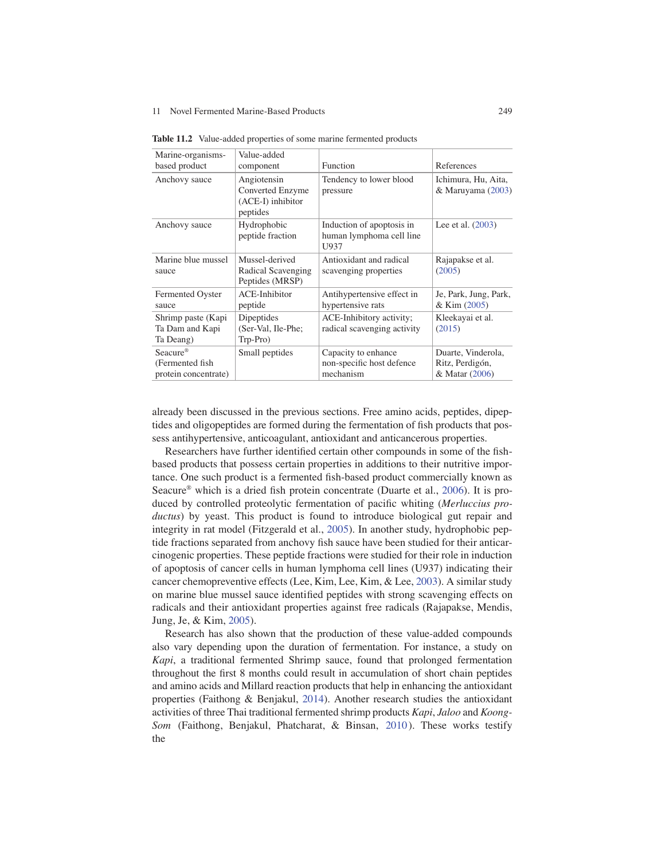#### 11 Novel Fermented Marine-Based Products

| Marine-organisms-<br>based product                               | Value-added<br>component                                         | Function                                                      | References                                              |
|------------------------------------------------------------------|------------------------------------------------------------------|---------------------------------------------------------------|---------------------------------------------------------|
| Anchovy sauce                                                    | Angiotensin<br>Converted Enzyme<br>(ACE-I) inhibitor<br>peptides | Tendency to lower blood<br>pressure                           | Ichimura, Hu, Aita,<br>& Maruyama (2003)                |
| Anchovy sauce                                                    | Hydrophobic<br>peptide fraction                                  | Induction of apoptosis in<br>human lymphoma cell line<br>U937 | Lee et al. $(2003)$                                     |
| Marine blue mussel<br>sauce                                      | Mussel-derived<br>Radical Scavenging<br>Peptides (MRSP)          | Antioxidant and radical<br>scavenging properties              | Rajapakse et al.<br>(2005)                              |
| <b>Fermented Oyster</b><br>sauce                                 | ACE-Inhibitor<br>peptide                                         | Antihypertensive effect in<br>hypertensive rats               | Je, Park, Jung, Park,<br>& Kim (2005)                   |
| Shrimp paste (Kapi<br>Ta Dam and Kapi<br>Ta Deang)               | Dipeptides<br>(Ser-Val, Ile-Phe;<br>Trp-Pro)                     | ACE-Inhibitory activity;<br>radical scavenging activity       | Kleekayai et al.<br>(2015)                              |
| Seacure <sup>®</sup><br>(Fermented fish)<br>protein concentrate) | Small peptides                                                   | Capacity to enhance<br>non-specific host defence<br>mechanism | Duarte, Vinderola,<br>Ritz, Perdigón,<br>& Matar (2006) |

 **Table 11.2** Value-added properties of some marine fermented products

already been discussed in the previous sections. Free amino acids, peptides, dipeptides and oligopeptides are formed during the fermentation of fish products that possess antihypertensive, anticoagulant, antioxidant and anticancerous properties.

Researchers have further identified certain other compounds in some of the fishbased products that possess certain properties in additions to their nutritive importance. One such product is a fermented fish-based product commercially known as Seacure<sup>®</sup> which is a dried fish protein concentrate (Duarte et al., 2006). It is produced by controlled proteolytic fermentation of pacific whiting (*Merluccius productus*) by yeast. This product is found to introduce biological gut repair and integrity in rat model (Fitzgerald et al., 2005). In another study, hydrophobic peptide fractions separated from anchovy fish sauce have been studied for their anticarcinogenic properties. These peptide fractions were studied for their role in induction of apoptosis of cancer cells in human lymphoma cell lines (U937) indicating their cancer chemopreventive effects (Lee, Kim, Lee, Kim, & Lee, 2003). A similar study on marine blue mussel sauce identified peptides with strong scavenging effects on radicals and their antioxidant properties against free radicals (Rajapakse, Mendis, Jung, Je, & Kim, 2005).

Research has also shown that the production of these value-added compounds also vary depending upon the duration of fermentation. For instance, a study on *Kapi*, a traditional fermented Shrimp sauce, found that prolonged fermentation throughout the first 8 months could result in accumulation of short chain peptides and amino acids and Millard reaction products that help in enhancing the antioxidant properties (Faithong & Benjakul, 2014). Another research studies the antioxidant activities of three Thai traditional fermented shrimp products *Kapi*, *Jaloo* and *Koong-Som* (Faithong, Benjakul, Phatcharat, & Binsan, 2010). These works testify the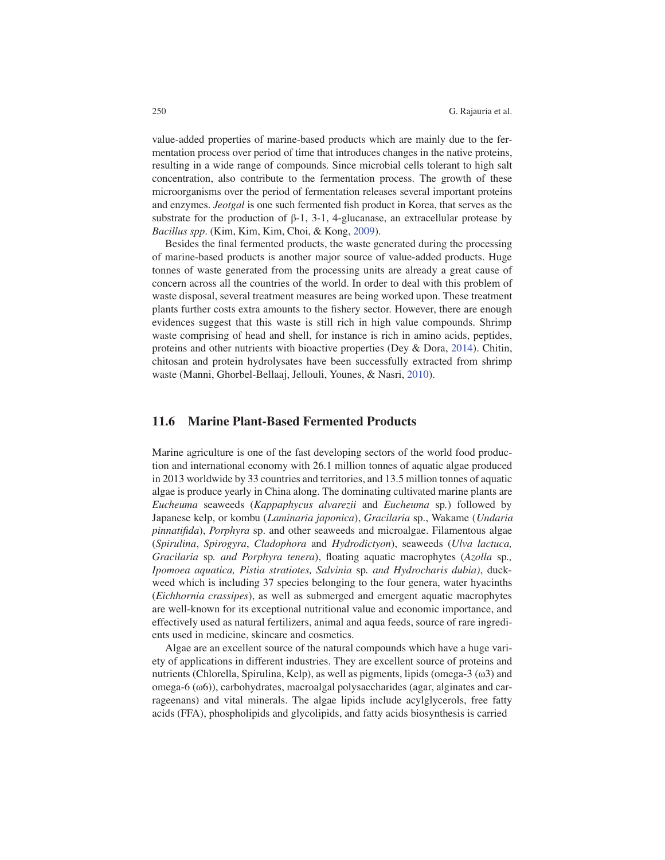value-added properties of marine-based products which are mainly due to the fermentation process over period of time that introduces changes in the native proteins, resulting in a wide range of compounds. Since microbial cells tolerant to high salt concentration, also contribute to the fermentation process. The growth of these microorganisms over the period of fermentation releases several important proteins and enzymes. *Jeotgal* is one such fermented fish product in Korea, that serves as the substrate for the production of  $\beta$ -1, 3-1, 4-glucanase, an extracellular protease by *Bacillus spp*. (Kim, Kim, Kim, Choi, & Kong, 2009).

Besides the final fermented products, the waste generated during the processing of marine-based products is another major source of value-added products. Huge tonnes of waste generated from the processing units are already a great cause of concern across all the countries of the world. In order to deal with this problem of waste disposal, several treatment measures are being worked upon. These treatment plants further costs extra amounts to the fishery sector. However, there are enough evidences suggest that this waste is still rich in high value compounds. Shrimp waste comprising of head and shell, for instance is rich in amino acids, peptides, proteins and other nutrients with bioactive properties (Dey  $\&$  Dora, 2014). Chitin, chitosan and protein hydrolysates have been successfully extracted from shrimp waste (Manni, Ghorbel-Bellaaj, Jellouli, Younes, & Nasri, 2010).

### **11.6 Marine Plant-Based Fermented Products**

Marine agriculture is one of the fast developing sectors of the world food production and international economy with 26.1 million tonnes of aquatic algae produced in 2013 worldwide by 33 countries and territories, and 13.5 million tonnes of aquatic algae is produce yearly in China along. The dominating cultivated marine plants are *Eucheuma* seaweeds (*Kappaphycus alvarezii* and *Eucheuma* sp.) followed by Japanese kelp, or kombu (*Laminaria japonica*), *Gracilaria* sp., Wakame (*Undaria pinnatifida*), *Porphyra* sp. and other seaweeds and microalgae. Filamentous algae ( *Spirulina*, *Spirogyra*, *Cladophora* and *Hydrodictyon*), seaweeds ( *Ulva lactuca, Gracilaria* sp. *and Porphyra tenera*), floating aquatic macrophytes (*Azolla* sp., *Ipomoea aquatica, Pistia stratiotes, Salvinia sp. and Hydrocharis <i>dubia*), duckweed which is including 37 species belonging to the four genera, water hyacinths ( *Eichhornia crassipes*), as well as submerged and emergent aquatic macrophytes are well-known for its exceptional nutritional value and economic importance, and effectively used as natural fertilizers, animal and aqua feeds, source of rare ingredients used in medicine, skincare and cosmetics.

Algae are an excellent source of the natural compounds which have a huge variety of applications in different industries. They are excellent source of proteins and nutrients (Chlorella, Spirulina, Kelp), as well as pigments, lipids (omega-3 (ω3) and omega-6 (ω6)), carbohydrates, macroalgal polysaccharides (agar, alginates and carrageenans) and vital minerals. The algae lipids include acylglycerols, free fatty acids (FFA), phospholipids and glycolipids, and fatty acids biosynthesis is carried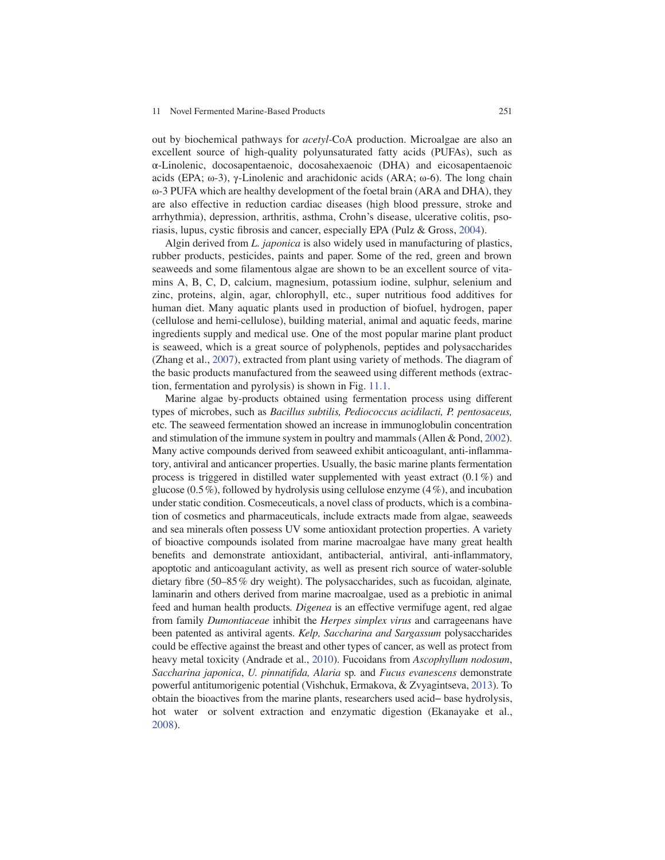out by biochemical pathways for *acetyl-*CoA production. Microalgae are also an excellent source of high-quality polyunsaturated fatty acids (PUFAs), such as α-Linolenic, docosapentaenoic, docosahexaenoic (DHA) and eicosapentaenoic acids (EPA; ω-3), γ-Linolenic and arachidonic acids (ARA; ω-6). The long chain ω-3 PUFA which are healthy development of the foetal brain (ARA and DHA), they are also effective in reduction cardiac diseases (high blood pressure, stroke and arrhythmia), depression, arthritis, asthma, Crohn's disease, ulcerative colitis, psoriasis, lupus, cystic fibrosis and cancer, especially EPA (Pulz & Gross, 2004).

Algin derived from *L. japonica* is also widely used in manufacturing of plastics, rubber products, pesticides, paints and paper. Some of the red, green and brown seaweeds and some filamentous algae are shown to be an excellent source of vitamins A, B, C, D, calcium, magnesium, potassium iodine, sulphur, selenium and zinc, proteins, algin, agar, chlorophyll, etc., super nutritious food additives for human diet. Many aquatic plants used in production of biofuel, hydrogen, paper ( celluloseand hemi-cellulose), building material, animal and aquatic feeds, marine ingredients supply and medicaluse. One of the most popular marine plant product is seaweed, which is a great source of polyphenols , peptides and polysaccharides (Zhang et al., 2007), extracted from plant using variety of methods. The diagram of the basic products manufactured from the seaweed using different methods (extraction, fermentation and pyrolysis) is shown in Fig. 11.1.

Marine algae by-products obtained using fermentation process using different types of microbes, such as *Bacillus subtilis, Pediococcus acidilacti, P. pentosaceus,* etc. The seaweed fermentation showed an increase in immunoglobulin concentration and stimulation of the immune system in poultry and mammals (Allen & Pond, 2002). Many active compounds derived from seaweed exhibit anticoagulant, anti-inflammatory, antiviral and anticancer properties. Usually, the basic marine plants fermentation process is triggered in distilled water supplemented with yeast extract (0.1%) and glucose (0.5%), followed by hydrolysis using cellulose enzyme (4%), and incubation under static condition. Cosmeceuticals, a novel class of products, which is a combination of cosmetics and pharmaceuticals, include extracts made from algae, seaweeds and sea minerals often possess UV some antioxidant protection properties. A variety of bioactive compounds isolated from marine macroalgae have many great health benefits and demonstrate antioxidant, antibacterial, antiviral, anti-inflammatory, apoptotic and anticoagulant activity, as well as present rich source of water-soluble dietary fibre (50–85% dry weight). The polysaccharides, such as fucoidan, alginate, laminarin and others derived from marine macroalgae, used as a prebiotic in animal feed and human health products*. Digenea* is an effective vermifuge agent, red algae from family *Dumontiaceae* inhibit the *Herpes simplex virus* and carrageenans have been patented as antiviral agents. *Kelp, Saccharina and Sargassum* polysaccharides could be effective against the breast and other types of cancer, as well as protect from heavy metal toxicity (Andrade et al., 2010). Fucoidans from *Ascophyllum nodosum*, *Saccharina japonica*, *U. pinnatifi da, Alaria* sp*.* and *Fucus evanescens* demonstrate powerful antitumorigenic potential (Vishchuk, Ermakova, & Zvyagintseva, 2013). To obtain the bioactives from the marine plants, researchers used acid− base hydrolysis, hot water or solvent extraction and enzymatic digestion (Ekanayake et al., 2008).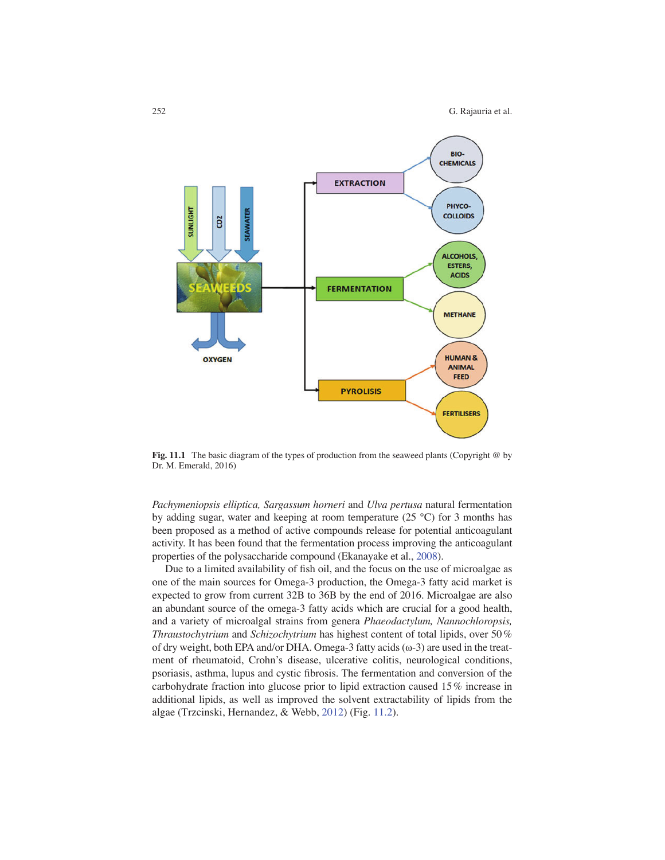252 G. Rajauria et al.



**Fig. 11.1** The basic diagram of the types of production from the seaweed plants (Copyright @ by Dr. M. Emerald, 2016)

*Pachymeniopsis elliptica, Sargassum horneri* and *Ulva pertusa* natural fermentation by adding sugar, water and keeping at room temperature (25 °C) for 3 months has been proposed as a method of active compounds release for potential anticoagulant activity. It has been found that the fermentation process improving the anticoagulant properties of the polysaccharide compound (Ekanayake et al., 2008).

Due to a limited availability of fish oil, and the focus on the use of microalgae as one of the main sources for Omega-3 production, the Omega-3 fatty acid market is expected to grow from current 32B to 36B by the end of 2016. Microalgae are also an abundant source of the omega-3 fatty acids which are crucial for a good health, and a variety of microalgal strains from genera *Phaeodactylum, Nannochloropsis, Thraustochytrium* and *Schizochytrium* has highest content of total lipids, over 50% of dry weight, both EPA and/or DHA. Omega-3 fatty acids  $(\omega$ -3) are used in the treatment of rheumatoid, Crohn's disease, ulcerative colitis, neurological conditions, psoriasis, asthma, lupus and cystic fibrosis. The fermentation and conversion of the carbohydrate fraction into glucose prior to lipid extraction caused 15% increase in additional lipids, as well as improved the solvent extractability of lipids from the algae (Trzcinski, Hernandez, & Webb, 2012) (Fig. 11.2).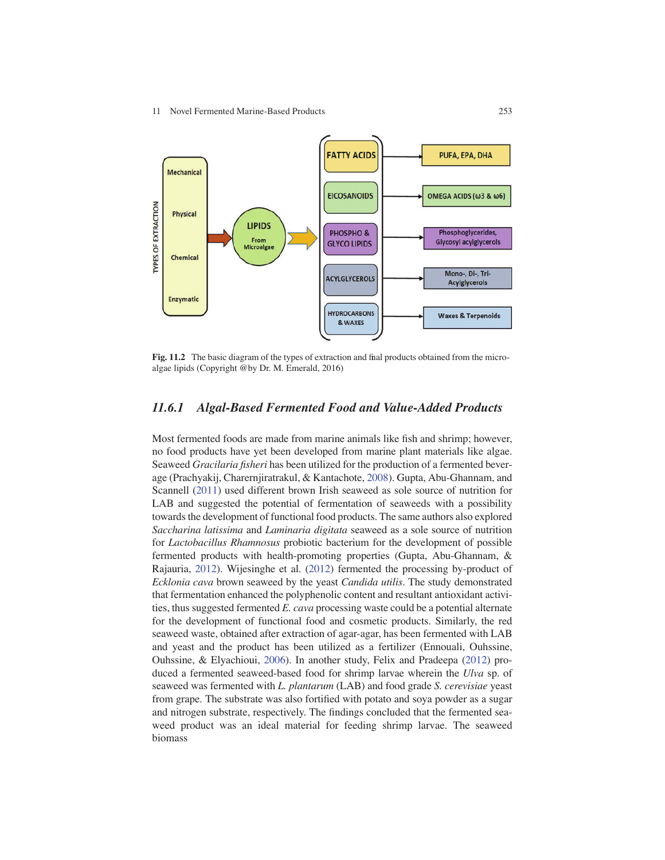

**Fig. 11.2** The basic diagram of the types of extraction and final products obtained from the microalgae lipids(Copyright @by Dr. M. Emerald, 2016)

### *11.6.1 Algal-Based Fermented Foodand Value-Added Products*

Most fermented foods are made from marine animals like fish and shrimp; however, no food products have yet been developed from marine plant materials like algae. Seaweed *Gracilaria fisheri* has been utilized for the production of a fermented beverage (Prachyakij, Charernjiratrakul, & Kantachote, 2008). Gupta, Abu-Ghannam, and Scannell (2011) used different brown Irish seaweed as sole source of nutrition for LAB and suggested the potential of fermentation of seaweeds with a possibility towards the development of functional food products. The same authors also explored *Saccharina latissima* and *Laminaria digitata* seaweed as a sole source of nutrition for *Lactobacillus Rhamnosus* probiotic bacterium for the development of possible fermented products with health-promoting properties (Gupta, Abu-Ghannam, & Rajauria, 2012). Wijesinghe et al. (2012) fermented the processing by-product of *Ecklonia cava* brown seaweed by the yeast *Candida utilis*. The study demonstrated that fermentation enhanced the polyphenolic content and resultant antioxidant activities, thus suggested fermented *E. cava* processing waste could be a potential alternate for the development of functional food and cosmetic products. Similarly, the red seaweed waste, obtained after extraction of agar-agar, has been fermented with LAB and yeast and the product has been utilized as a fertilizer (Ennouali, Ouhssine, Ouhssine, & Elyachioui, 2006). In another study, Felix and Pradeepa (2012) produced a fermented seaweed-based food for shrimp larvae wherein the *Ulva* sp. of seaweed was fermented with *L. plantarum* (LAB) and food grade *S. cerevisiae* yeast from grape. The substrate was also fortified with potato and soya powder as a sugar and nitrogen substrate, respectively. The findings concluded that the fermented seaweed product was an ideal material for feeding shrimp larvae. The seaweed biomass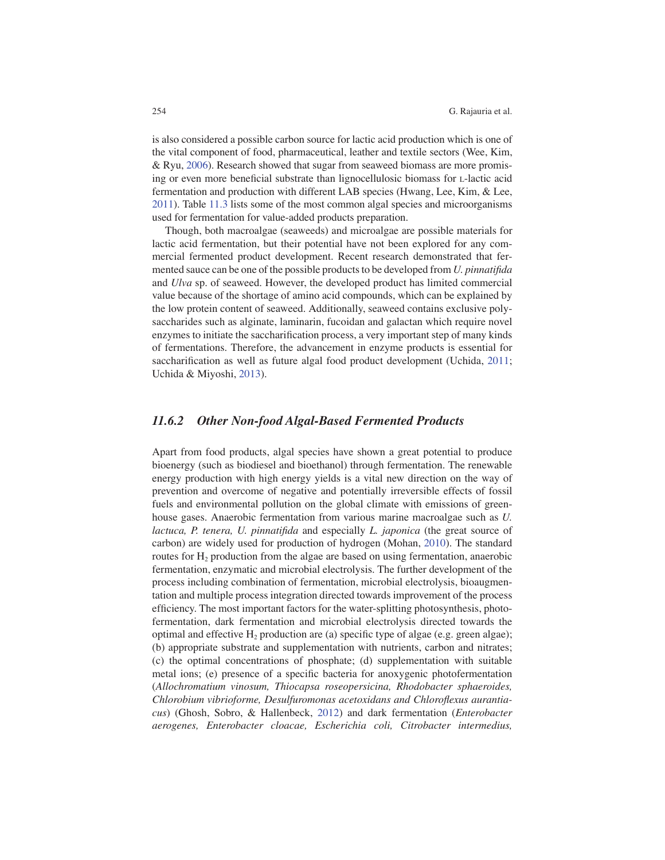is also considered a possible carbon source for lactic acid production which is one of the vital component of food, pharmaceutical , leather and textile sectors (Wee, Kim, & Ryu, 2006 ). Research showed that sugar from seaweed biomass are more promising or even more beneficial substrate than lignocellulosic biomass for L-lactic acid fermentation and production with different LAB species (Hwang, Lee, Kim, & Lee, 2011 ). Table 11.3 lists some of the most common algal species and microorganisms used for fermentation for value-added products preparation.

 Though, both macroalgae (seaweeds) and microalgae are possible materials for lactic acid fermentation, but their potential have not been explored for any commercial fermented product development. Recent research demonstrated that fermented sauce can be one of the possible products to be developed from *U. pinnatifida* and *Ulva* sp. of seaweed. However, the developed product has limited commercial value because of the shortage of amino acid compounds, which can be explained by the low protein content of seaweed. Additionally, seaweed contains exclusive polysaccharides such as alginate, laminarin, fucoidan and galactan which require novel enzymes to initiate the saccharification process, a very important step of many kinds of fermentations. Therefore, the advancement in enzyme products is essential for saccharification as well as future algal food product development (Uchida, 2011; Uchida & Miyoshi, 2013).

### *11.6.2 Other Non-food Algal-Based Fermented Products*

Apart from food products, algal species have shown a great potential to produce bioenergy (such as biodiesel and bioethanol) through fermentation. The renewable energy production with high energy yields is a vital new direction on the way of prevention and overcome of negative and potentially irreversible effects of fossil fuels and environmental pollution on the global climate with emissions of greenhouse gases. Anaerobic fermentation from various marine macroalgae such as *U*. *lactuca, P. tenera, U. pinnatifida* and especially *L. japonica* (the great source of carbon) are widely used for production of hydrogen (Mohan, 2010). The standard routes for  $H_2$  production from the algae are based on using fermentation, anaerobic fermentation, enzymatic and microbial electrolysis. The further development of the process including combination of fermentation, microbial electrolysis, bioaugmentation and multiple process integration directed towards improvement of the process efficiency. The most important factors for the water-splitting photosynthesis, photofermentation, dark fermentation and microbial electrolysis directed towards the optimal and effective  $H_2$  production are (a) specific type of algae (e.g. green algae); (b) appropriate substrate and supplementation with nutrients, carbon and nitrates; (c) the optimal concentrations of phosphate; (d) supplementation with suitable metal ions; (e) presence of a specific bacteria for anoxygenic photofermentation ( *Allochromatium vinosum, Thiocapsa roseopersicina, Rhodobacter sphaeroides,* Chlorobium vibrioforme, Desulfuromonas acetoxidans and Chloroflexus aurantia*cus* ) (Ghosh, Sobro, & Hallenbeck, 2012 ) and dark fermentation ( *Enterobacter aerogenes, Enterobacter cloacae, Escherichia coli, Citrobacter intermedius,*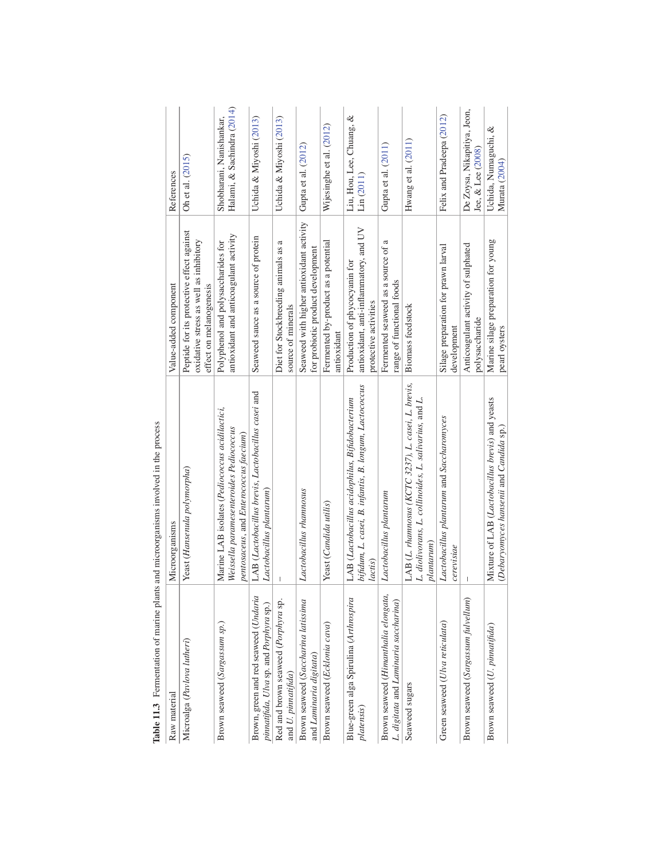| Raw material                                                                     | Microorganisms                                                                                                                      | Value-added component                                                                                          | References                                             |
|----------------------------------------------------------------------------------|-------------------------------------------------------------------------------------------------------------------------------------|----------------------------------------------------------------------------------------------------------------|--------------------------------------------------------|
| Microalga (Pavlova lutheri)                                                      | Yeast (Hansenula polymorpha)                                                                                                        | Peptide for its protective effect against<br>oxidative stress as well as inhibitory<br>effect on melanogenesis | Oh et al. (2015)                                       |
| Brown seaweed (Sargassum sp.)                                                    | Marine LAB isolates (Pediococcus acidilactici,<br>Weissella paramesenteroides Pediococcus<br>pentosaceus, and Enterococcus faecium) | antioxidant and anticoagulant activity<br>Polyphenol and polysaccharides for                                   | Halami, & Sachindra (2014)<br>Shobharani, Nanishankar, |
| Brown, green and red seaweed (Undaria<br>pinnatifida, Ulva sp. and Porphyra sp.) | LAB (Lactobacillus brevis, Lactobacillus casei and<br>Lactobacillus plantarum)                                                      | Seaweed sauce as a source of protein                                                                           | Uchida & Miyoshi (2013)                                |
| Red and brown seaweed (Porphyra sp.<br>and U. pinnatifida)                       |                                                                                                                                     | Diet for Stockbreeding animals as a<br>source of minerals                                                      | Uchida & Miyoshi (2013)                                |
| Brown seaweed (Saccharina latissima<br>and Laminaria digitata)                   | Lactobacillus rhamnosus                                                                                                             | Seaweed with higher antioxidant activity<br>for probiotic product development                                  | Gupta et al. (2012)                                    |
| Brown seaweed (Ecklonia cava)                                                    | Yeast (Candida utilis)                                                                                                              | Fermented by-product as a potential<br>antioxidant                                                             | Wijesinghe et al. (2012)                               |
| Blue-green alga Spirulina (Arthrospira<br>platensis)                             | bifidum, L. casei, B. infantis, B. longum, Lactococcus<br>LAB (Lactobacillus acidophilus, Bifidobacterium<br>lactis)                | antioxidant, anti-inflammatory, and UV<br>Production of phycocyanin for<br>protective activities               | Liu, Hou, Lee, Chuang, &<br>Lin(2011)                  |
| Brown seaweed (Himanthalia elongata,<br>L. digitata and Laminaria saccharina)    | Lactobacillus plantarum                                                                                                             | Fermented seaweed as a source of a<br>range of functional foods                                                | Gupta et al. (2011)                                    |
| Seaweed sugars                                                                   | LAB (L. rhamnosus (KCTC 3237), L. casei, L. brevis,<br>L. diolivorans, L. collinoides, L. salivarius, and L.<br>plantarum           | <b>Biomass feedstock</b>                                                                                       | Hwang et al. $(2011)$                                  |
| Green seaweed (Ulva reticulata)                                                  | Lactobacillus plantarum and Saccharomyces<br>cerevisiae                                                                             | Silage preparation for prawn larval<br>development                                                             | Felix and Pradeepa (2012)                              |
| Brown seaweed (Sargassum fulvellum)                                              |                                                                                                                                     | Anticoagulant activity of sulphated<br>polysaccharide                                                          | De Zoysa, Nikapitiya, Jeon,<br>Jee, & Lee (2008)       |
| Brown seaweed (U. pinnatifida)                                                   | Mixture of LAB (Lactobacillus brevis) and yeasts<br>(Debaryomyces hansenii and Candida sp.)                                         | Marine silage preparation for young<br>pearl oysters                                                           | Uchida, Numaguchi, &<br>Murata (2004)                  |

Table 11.3 Fermentation of marine plants and microorganisms involved in the process  **Table 11.3** Fermentation of marine plants and microorganisms involved in the process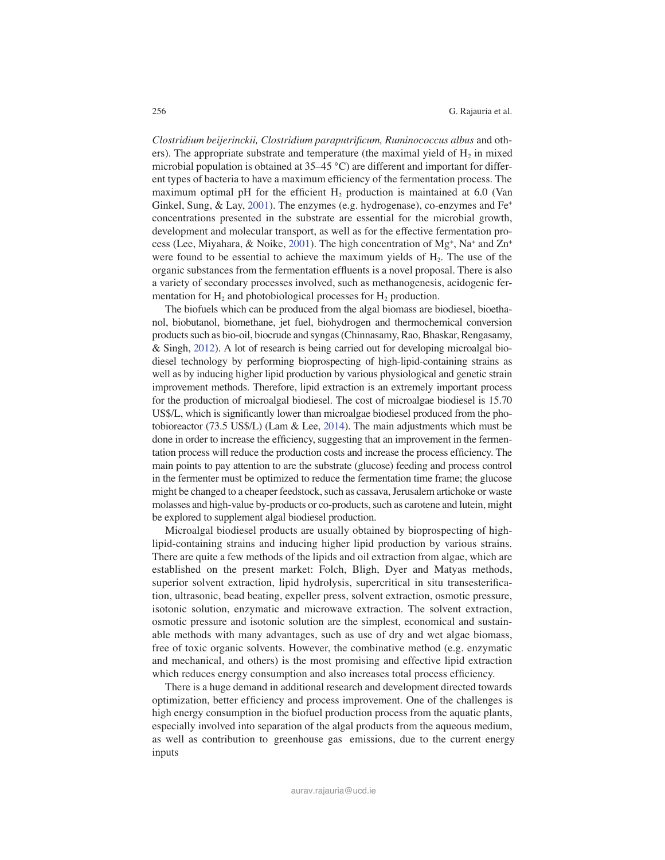*Clostridium beijerinckii, Clostridium paraputrifi cum, Ruminococcus albus* and others). The appropriate substrate and temperature (the maximal yield of  $H_2$  in mixed microbial population is obtained at 35–45 °C) are different and important for different types of bacteria to have a maximum efficiency of the fermentation process. The maximum optimal pH for the efficient  $H_2$  production is maintained at 6.0 (Van Ginkel, Sung,  $\&$  Lay, 2001). The enzymes (e.g. hydrogenase), co-enzymes and Fe<sup>+</sup> concentrations presented in the substrate are essential for the microbial growth, development and molecular transport, as well as for the effective fermentation process (Lee, Miyahara, & Noike, 2001). The high concentration of Mg<sup>+</sup>, Na<sup>+</sup> and Zn<sup>+</sup> were found to be essential to achieve the maximum yields of  $H_2$ . The use of the organic substances from the fermentation effluents is a novel proposal. There is also a variety of secondary processes involved, such as methanogenesis, acidogenic fermentation for  $H_2$  and photobiological processes for  $H_2$  production.

The biofuels which can be produced from the algal biomass are biodiesel, bioethanol, biobutanol, biomethane, jet fuel, biohydrogen and thermochemical conversion products such as bio-oil, biocrude and syngas (Chinnasamy, Rao, Bhaskar, Rengasamy, & Singh, 2012). A lot of research is being carried out for developing microalgal biodiesel technology by performing bioprospecting of high-lipid-containing strains as well as by inducing higher lipid production by various physiological and genetic strain improvement methods. Therefore, lipid extraction is an extremely important process for the production of microalgal biodiesel. The cost of microalgae biodiesel is 15.70 US\$/L, which is significantly lower than microalgae biodiesel produced from the photobioreactor (73.5 US\$/L) (Lam & Lee, 2014). The main adjustments which must be done in order to increase the efficiency, suggesting that an improvement in the fermentation process will reduce the production costs and increase the process efficiency. The main points to pay attention to are the substrate (glucose) feeding and process control in the fermenter must be optimized to reduce the fermentation time frame; the glucose might be changed to a cheaper feedstock, such as cassava, Jerusalem artichoke or waste molasses and high-value by-products or co-products, such as carotene and lutein, might be explored to supplement algal biodiesel production.

Microalgal biodiesel products are usually obtained by bioprospecting of highlipid-containing strains and inducing higher lipid production by various strains. There are quite a few methods of the lipids and oil extraction from algae, which are established on the present market: Folch, Bligh, Dyer and Matyas methods, superior solvent extraction, lipid hydrolysis, supercritical in situ transesterification, ultrasonic, bead beating, expeller press, solvent extraction, osmotic pressure, isotonic solution, enzymatic and microwave extraction. The solvent extraction, osmotic pressure and isotonic solution are the simplest, economical and sustainable methods with many advantages, such as use of dry and wet algae biomass, free of toxic organic solvents. However, the combinative method (e.g. enzymatic and mechanical, and others) is the most promising and effective lipid extraction which reduces energy consumption and also increases total process efficiency.

There is a huge demand in additional research and development directed towards optimization, better efficiency and process improvement. One of the challenges is high energy consumption in the biofuel production process from the aquatic plants, especially involved into separation of the algal products from the aqueous medium, as well as contribution to greenhouse gas emissions, due to the current energy inputs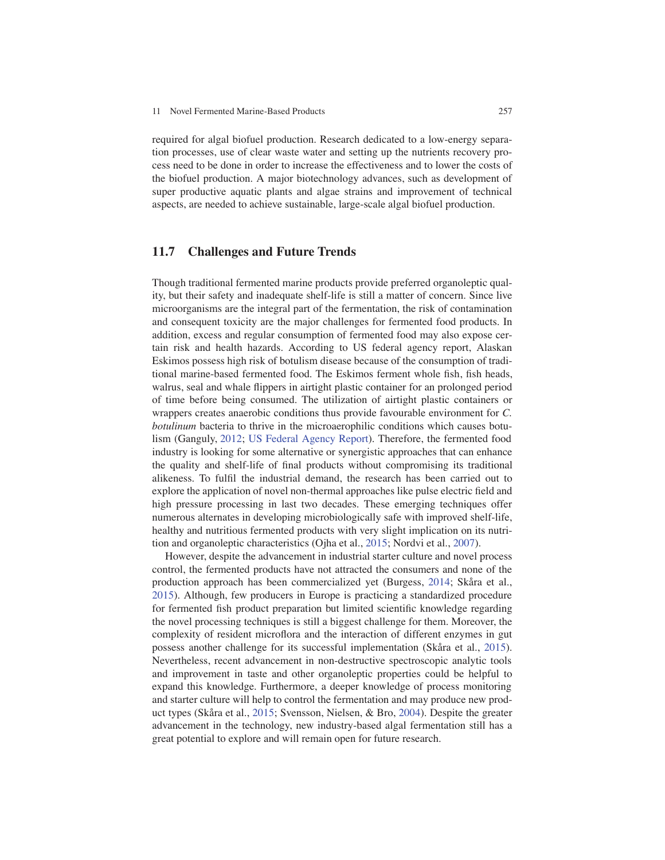required for algal biofuel production. Research dedicated to a low-energy separation processes, use of clear waste water and setting up the nutrients recovery process need to be done in order to increase the effectiveness and to lower the costs of the biofuel production. A major biotechnology advances, such as development of super productive aquatic plants and algae strains and improvement of technical aspects, are needed to achieve sustainable, large-scale algal biofuel production.

### **11.7 Challenges and Future Trends**

Though traditional fermented marine products provide preferred organoleptic quality, but their safety and inadequate shelf-life is still a matter of concern. Since live microorganisms are the integral part of the fermentation, the risk of contamination and consequent toxicity are the major challenges for fermented food products . In addition, excess and regular consumption of fermented food may also expose certain risk and health hazards. According to US federal agency report, Alaskan Eskimos possess high risk of botulism disease because of the consumption of traditional marine-based fermented food. The Eskimos ferment whole fish, fish heads, walrus, seal and whale flippers in airtight plastic container for an prolonged period of time before being consumed. The utilization of airtight plastic containers or wrappers creates anaerobic conditions thus provide favourable environment for *C. botulinum* bacteria to thrive in the microaerophilic conditions which causes botulism (Ganguly, 2012; US Federal Agency Report). Therefore, the fermented food industry is looking for some alternative or synergistic approaches that can enhance the quality and shelf-life of final products without compromising its traditional alikeness. To fulfil the industrial demand, the research has been carried out to explore the application of novel non-thermal approaches like pulse electric field and high pressure processing in last two decades. These emerging techniques offer numerous alternates in developing microbiologically safewith improved shelf-life, healthy and nutritious fermented products with very slight implication on its nutrition and organoleptic characteristics (Ojha et al., 2015; Nordvi et al., 2007).

However, despite the advancement in industrial starter culture and novel process control, the fermented products have not attracted the consumers and none of the production approach has been commercialized yet (Burgess, 2014; Skåra et al., 2015). Although, few producers in Europe is practicing a standardized procedure for fermented fish product preparation but limited scientific knowledge regarding the novel processing techniques is still a biggest challenge for them. Moreover, the complexity of resident microflora and the interaction of different enzymes in gut possess another challenge for its successful implementation (Skåra et al., 2015). Nevertheless, recent advancement in non-destructive spectroscopic analytic tools and improvement in taste and other organoleptic properties could be helpful to expand this knowledge. Furthermore, a deeper knowledge of process monitoring and starter culture will help to control the fermentation and may produce new product types (Skåra et al., 2015; Svensson, Nielsen, & Bro, 2004). Despite the greater advancement in the technology, new industry-based algal fermentation still has a great potential to explore and will remain open for future research.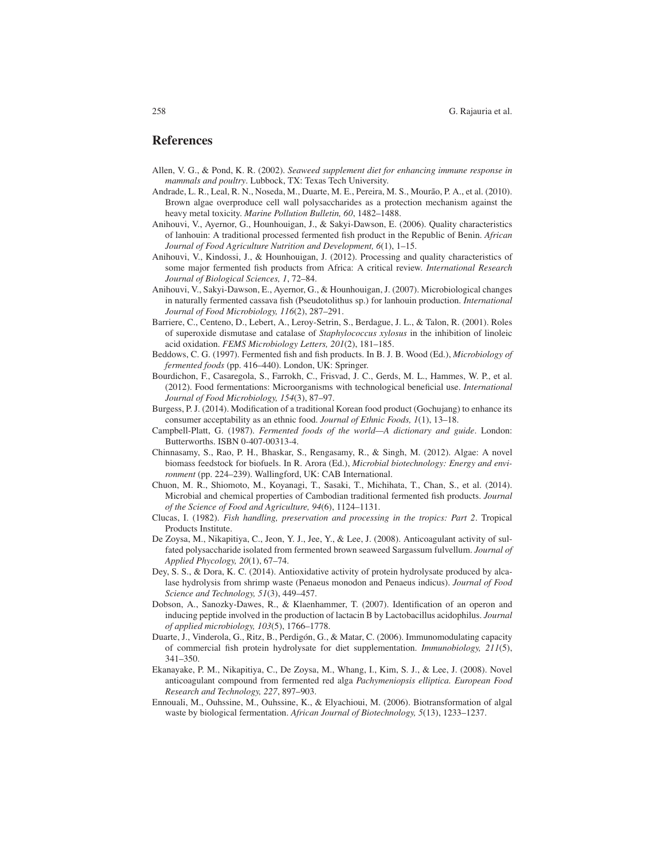#### **References**

- Allen, V. G., & Pond, K. R. (2002). *Seaweed supplement diet for enhancing immune response in mammals and poultry* . Lubbock, TX: Texas Tech University.
- Andrade, L. R., Leal, R. N., Noseda, M., Duarte, M. E., Pereira, M. S., Mourão, P. A., et al. (2010). Brown algae overproduce cell wall polysaccharides as a protection mechanism against the heavy metal toxicity. Marine Pollution Bulletin, 60, 1482-1488.
- Anihouvi, V., Ayernor, G., Hounhouigan, J., & Sakyi-Dawson, E. (2006). Quality characteristics of lanhouin: A traditional processed fermented fish product in the Republic of Benin. *African Journal of Food Agriculture Nutrition and Development, 6* (1), 1–15.
- Anihouvi, V., Kindossi, J., & Hounhouigan, J. (2012). Processing and quality characteristics of some major fermented fish products from Africa: A critical review. *International Research Journal of Biological Sciences, 1* , 72–84.
- Anihouvi, V., Sakyi-Dawson, E., Ayernor, G., & Hounhouigan, J. (2007). Microbiological changes in naturally fermented cassava fish (Pseudotolithus sp.) for lanhouin production. *International Journal of Food Microbiology, 116* (2), 287–291.
- Barriere, C., Centeno, D., Lebert, A., Leroy-Setrin, S., Berdague, J. L., & Talon, R. (2001). Roles of superoxide dismutase and catalase of *Staphylococcus xylosus* in the inhibition of linoleic acid oxidation. *FEMS Microbiology Letters*, 201(2), 181-185.
- Beddows, C. G. (1997). Fermented fish and fish products. In B. J. B. Wood (Ed.), *Microbiology of fermented foods* (pp. 416–440). London, UK: Springer.
- Bourdichon, F., Casaregola, S., Farrokh, C., Frisvad, J. C., Gerds, M. L., Hammes, W. P., et al. (2012). Food fermentations: Microorganisms with technological beneficial use. *International Journal of Food Microbiology, 154* (3), 87–97.
- Burgess, P. J. (2014). Modification of a traditional Korean food product (Gochujang) to enhance its consumer acceptability as an ethnic food. *Journal of Ethnic Foods, 1* (1), 13–18.
- Campbell-Platt, G. (1987). *Fermented foods of the world—A dictionary and guide* . London: Butterworths. ISBN 0-407-00313-4.
- Chinnasamy, S., Rao, P. H., Bhaskar, S., Rengasamy, R., & Singh, M. (2012). Algae: A novel biomass feedstock for biofuels. In R. Arora (Ed.), *Microbial biotechnology: Energy and environment* (pp. 224–239). Wallingford, UK: CAB International.
- Chuon, M. R., Shiomoto, M., Koyanagi, T., Sasaki, T., Michihata, T., Chan, S., et al. (2014). Microbial and chemical properties of Cambodian traditional fermented fish products. *Journal of the Science of Food and Agriculture, 94* (6), 1124–1131.
- Clucas, I. (1982). *Fish handling, preservation and processing in the tropics: Part 2* . Tropical Products Institute.
- De Zoysa, M., Nikapitiya, C., Jeon, Y. J., Jee, Y., & Lee, J. (2008). Anticoagulant activity of sulfated polysaccharide isolated from fermented brown seaweed Sargassum fulvellum. *Journal of Applied Phycology, 20* (1), 67–74.
- Dey, S. S., & Dora, K. C. (2014). Antioxidative activity of protein hydrolysate produced by alcalase hydrolysis from shrimp waste (Penaeus monodon and Penaeus indicus). *Journal of Food Science and Technology, 51* (3), 449–457.
- Dobson, A., Sanozky-Dawes, R., & Klaenhammer, T. (2007). Identification of an operon and inducing peptide involved in the production of lactacin B by Lactobacillus acidophilus. *Journal of applied microbiology, 103* (5), 1766–1778.
- Duarte, J., Vinderola, G., Ritz, B., Perdigón, G., & Matar, C. (2006). Immunomodulating capacity of commercial fish protein hydrolysate for diet supplementation. *Immunobiology*, 211(5), 341–350.
- Ekanayake, P. M., Nikapitiya, C., De Zoysa, M., Whang, I., Kim, S. J., & Lee, J. (2008). Novel anticoagulant compound from fermented red alga *Pachymeniopsis elliptica. European Food Research and Technology, 227* , 897–903.
- Ennouali, M., Ouhssine, M., Ouhssine, K., & Elyachioui, M. (2006). Biotransformation of algal waste by biological fermentation. *African Journal of Biotechnology, 5* (13), 1233–1237.

#### 258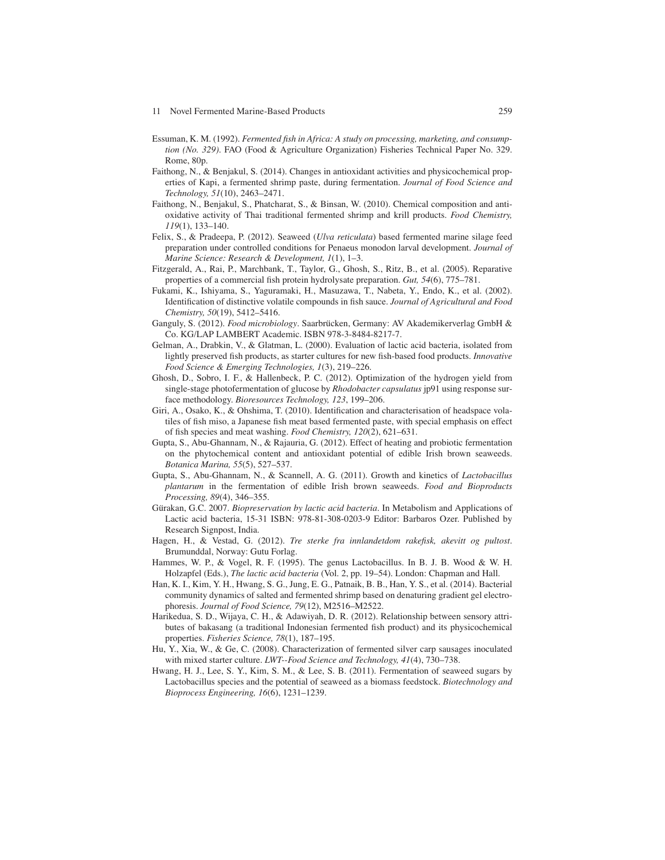- Essuman, K. M. (1992). *Fermented fish in Africa: A study on processing, marketing, and consumption (No. 329)* . FAO (Food & Agriculture Organization) Fisheries Technical Paper No. 329. Rome, 80p.
- Faithong, N., & Benjakul, S. (2014). Changes in antioxidant activities and physicochemical properties of Kapi, a fermented shrimp paste, during fermentation. *Journal of Food Science and Technology, 51* (10), 2463–2471.
- Faithong, N., Benjakul, S., Phatcharat, S., & Binsan, W. (2010). Chemical composition and antioxidative activity of Thai traditional fermented shrimp and krill products. *Food Chemistry, 119* (1), 133–140.
- Felix, S., & Pradeepa, P. (2012). Seaweed ( *Ulva reticulata* ) based fermented marine silage feed preparation under controlled conditions for Penaeus monodon larval development. *Journal of Marine Science: Research & Development, 1(1), 1-3.*
- Fitzgerald, A., Rai, P., Marchbank, T., Taylor, G., Ghosh, S., Ritz, B., et al. (2005). Reparative properties of a commercial fish protein hydrolysate preparation. *Gut*, 54(6), 775-781.
- Fukami, K., Ishiyama, S., Yaguramaki, H., Masuzawa, T., Nabeta, Y., Endo, K., et al. (2002). Identification of distinctive volatile compounds in fish sauce. *Journal of Agricultural and Food Chemistry, 50* (19), 5412–5416.
- Ganguly, S. (2012). *Food microbiology* . Saarbrücken, Germany: AV Akademikerverlag GmbH & Co. KG/LAP LAMBERT Academic. ISBN 978-3-8484-8217-7.
- Gelman, A., Drabkin, V., & Glatman, L. (2000). Evaluation of lactic acid bacteria, isolated from lightly preserved fish products, as starter cultures for new fish-based food products. *Innovative Food Science & Emerging Technologies, 1* (3), 219–226.
- Ghosh, D., Sobro, I. F., & Hallenbeck, P. C. (2012). Optimization of the hydrogen yield from single- stage photofermentation of glucose by *Rhodobacter capsulatus* jp91 using response surface methodology. *Bioresources Technology, 123* , 199–206.
- Giri, A., Osako, K., & Ohshima, T. (2010). Identification and characterisation of headspace volatiles of fish miso, a Japanese fish meat based fermented paste, with special emphasis on effect of fish species and meat washing. *Food Chemistry, 120*(2), 621-631.
- Gupta, S., Abu-Ghannam, N., & Rajauria, G. (2012). Effect of heating and probiotic fermentation on the phytochemical content and antioxidant potential of edible Irish brown seaweeds. *Botanica Marina, 55* (5), 527–537.
- Gupta, S., Abu-Ghannam, N., & Scannell, A. G. (2011). Growth and kinetics of *Lactobacillus plantarum* in the fermentation of edible Irish brown seaweeds. *Food and Bioproducts Processing, 89* (4), 346–355.
- Gürakan, G.C. 2007. *Biopreservation by lactic acid bacteria* . In Metabolism and Applications of Lactic acid bacteria, 15-31 ISBN: 978-81-308-0203-9 Editor: Barbaros Ozer. Published by Research Signpost, India.
- Hagen, H., & Vestad, G. (2012). *Tre sterke fra innlandetdom rakefisk, akevitt og pultost*. Brumunddal, Norway: Gutu Forlag.
- Hammes, W. P., & Vogel, R. F. (1995). The genus Lactobacillus. In B. J. B. Wood & W. H. Holzapfel (Eds.), *The lactic acid bacteria* (Vol. 2, pp. 19–54). London: Chapman and Hall.
- Han, K. I., Kim, Y. H., Hwang, S. G., Jung, E. G., Patnaik, B. B., Han, Y. S., et al. (2014). Bacterial community dynamics of salted and fermented shrimp based on denaturing gradient gel electrophoresis. *Journal of Food Science, 79* (12), M2516–M2522.
- Harikedua, S. D., Wijaya, C. H., & Adawiyah, D. R. (2012). Relationship between sensory attributes of bakasang (a traditional Indonesian fermented fish product) and its physicochemical properties. *Fisheries Science, 78* (1), 187–195.
- Hu, Y., Xia, W., & Ge, C. (2008). Characterization of fermented silver carp sausages inoculated with mixed starter culture. *LWT--Food Science and Technology, 41* (4), 730–738.
- Hwang, H. J., Lee, S. Y., Kim, S. M., & Lee, S. B. (2011). Fermentation of seaweed sugars by Lactobacillus species and the potential of seaweed as a biomass feedstock. *Biotechnology and Bioprocess Engineering, 16* (6), 1231–1239.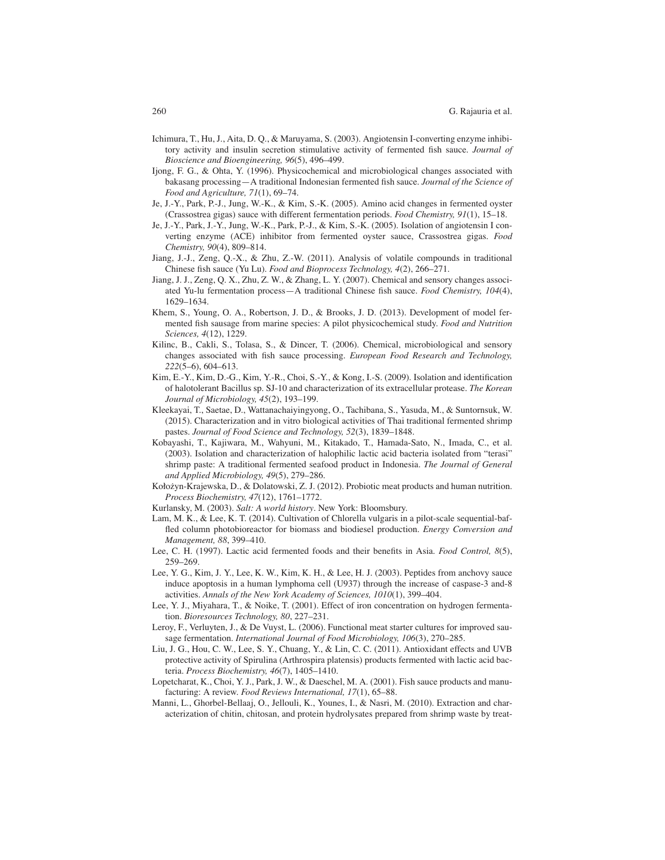- Ichimura, T., Hu, J., Aita, D. Q., & Maruyama, S. (2003). Angiotensin I-converting enzyme inhibitory activity and insulin secretion stimulative activity of fermented fish sauce. *Journal of Bioscience and Bioengineering, 96* (5), 496–499.
- Ijong, F. G., & Ohta, Y. (1996). Physicochemical and microbiological changes associated with bakasang processing—A traditional Indonesian fermented fish sauce. *Journal of the Science of Food and Agriculture, 71* (1), 69–74.
- Je, J.-Y., Park, P.-J., Jung, W.-K., & Kim, S.-K. (2005). Amino acid changes in fermented oyster (Crassostrea gigas) sauce with different fermentation periods. *Food Chemistry, 91* (1), 15–18.
- Je, J.-Y., Park, J.-Y., Jung, W.-K., Park, P.-J., & Kim, S.-K. (2005). Isolation of angiotensin I converting enzyme (ACE) inhibitor from fermented oyster sauce, Crassostrea gigas. *Food Chemistry, 90(4), 809-814.*
- Jiang, J.-J., Zeng, Q.-X., & Zhu, Z.-W. (2011). Analysis of volatile compounds in traditional Chinese fish sauce (Yu Lu). *Food and Bioprocess Technology*, 4(2), 266-271.
- Jiang, J. J., Zeng, Q. X., Zhu, Z. W., & Zhang, L. Y. (2007). Chemical and sensory changes associated Yu-lu fermentation process—A traditional Chinese fish sauce. *Food Chemistry, 104(4)*, 1629–1634.
- Khem, S., Young, O. A., Robertson, J. D., & Brooks, J. D. (2013). Development of model fermented fish sausage from marine species: A pilot physicochemical study. *Food and Nutrition Sciences, 4* (12), 1229.
- Kilinc, B., Cakli, S., Tolasa, S., & Dincer, T. (2006). Chemical, microbiological and sensory changes associated with fish sauce processing. *European Food Research and Technology*, *222* (5–6), 604–613.
- Kim, E.-Y., Kim, D.-G., Kim, Y.-R., Choi, S.-Y., & Kong, I.-S. (2009). Isolation and identification of halotolerant Bacillus sp. SJ-10 and characterization of its extracellular protease. *The Korean Journal of Microbiology, 45* (2), 193–199.
- Kleekayai, T., Saetae, D., Wattanachaiyingyong, O., Tachibana, S., Yasuda, M., & Suntornsuk, W. (2015). Characterization and in vitro biological activities of Thai traditional fermented shrimp pastes. *Journal of Food Science and Technology, 52* (3), 1839–1848.
- Kobayashi, T., Kajiwara, M., Wahyuni, M., Kitakado, T., Hamada-Sato, N., Imada, C., et al. (2003). Isolation and characterization of halophilic lactic acid bacteria isolated from "terasi" shrimp paste: A traditional fermented seafood product in Indonesia. *The Journal of General and Applied Microbiology, 49* (5), 279–286.
- Kołożyn-Krajewska, D., & Dolatowski, Z. J. (2012). Probiotic meat products and human nutrition. *Process Biochemistry, 47* (12), 1761–1772.
- Kurlansky, M. (2003). *Salt: A world history* . New York: Bloomsbury.
- Lam, M. K., & Lee, K. T. (2014). Cultivation of Chlorella vulgaris in a pilot-scale sequential-baffled column photobioreactor for biomass and biodiesel production. *Energy Conversion and Management, 88* , 399–410.
- Lee, C. H. (1997). Lactic acid fermented foods and their benefits in Asia. *Food Control*, 8(5), 259–269.
- Lee, Y. G., Kim, J. Y., Lee, K. W., Kim, K. H., & Lee, H. J. (2003). Peptides from anchovy sauce induce apoptosis in a human lymphoma cell (U937) through the increase of caspase‐3 and‐8 activities. Annals of the New York Academy of Sciences, 1010(1), 399-404.
- Lee, Y. J., Miyahara, T., & Noike, T. (2001). Effect of iron concentration on hydrogen fermentation. *Bioresources Technology, 80* , 227–231.
- Leroy, F., Verluyten, J., & De Vuyst, L. (2006). Functional meat starter cultures for improved sausage fermentation. *International Journal of Food Microbiology, 106*(3), 270–285.
- Liu, J. G., Hou, C. W., Lee, S. Y., Chuang, Y., & Lin, C. C. (2011). Antioxidant effects and UVB protective activity of Spirulina (Arthrospira platensis) products fermented with lactic acid bacteria. *Process Biochemistry, 46* (7), 1405–1410.
- Lopetcharat, K., Choi, Y. J., Park, J. W., & Daeschel, M. A. (2001). Fish sauce products and manufacturing: A review. *Food Reviews International, 17*(1), 65-88.
- Manni, L., Ghorbel-Bellaaj, O., Jellouli, K., Younes, I., & Nasri, M. (2010). Extraction and characterization of chitin, chitosan, and protein hydrolysates prepared from shrimp waste by treat-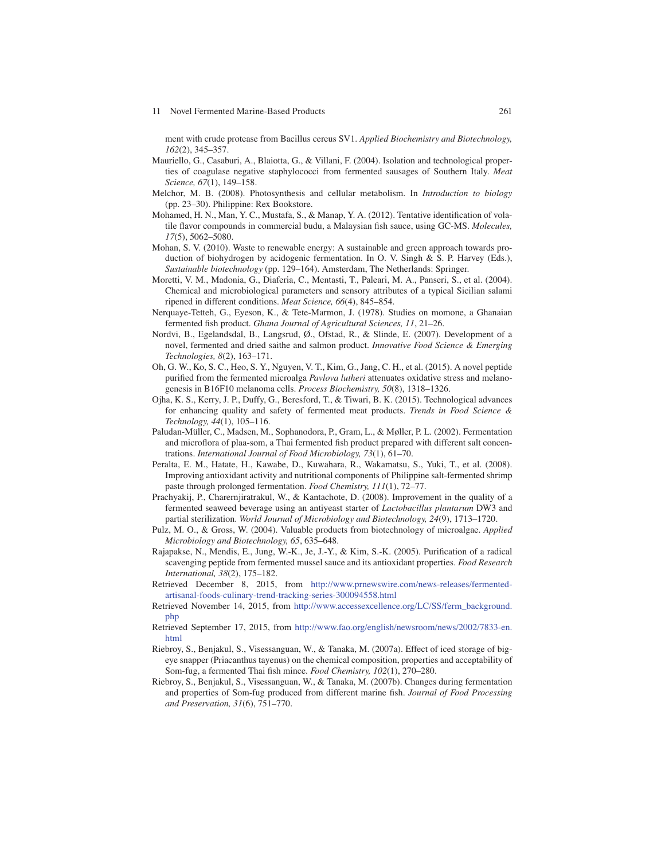ment with crude protease from Bacillus cereus SV1. *Applied Biochemistry and Biotechnology, 162* (2), 345–357.

- Mauriello, G., Casaburi, A., Blaiotta, G., & Villani, F. (2004). Isolation and technological properties of coagulase negative staphylococci from fermented sausages of Southern Italy. *Meat Science, 67(1), 149–158.*
- Melchor, M. B. (2008). Photosynthesis and cellular metabolism. In *Introduction to biology* (pp. 23–30). Philippine: Rex Bookstore.
- Mohamed, H. N., Man, Y. C., Mustafa, S., & Manap, Y. A. (2012). Tentative identification of volatile flavor compounds in commercial budu, a Malaysian fish sauce, using GC-MS. Molecules, *17* (5), 5062–5080.
- Mohan, S. V. (2010). Waste to renewable energy: A sustainable and green approach towards production of biohydrogen by acidogenic fermentation. In O. V. Singh & S. P. Harvey (Eds.), *Sustainable biotechnology* (pp. 129–164). Amsterdam, The Netherlands: Springer.
- Moretti, V. M., Madonia, G., Diaferia, C., Mentasti, T., Paleari, M. A., Panseri, S., et al. (2004). Chemical and microbiological parameters and sensory attributes of a typical Sicilian salami ripened in different conditions. *Meat Science, 66* (4), 845–854.
- Nerquaye-Tetteh, G., Eyeson, K., & Tete-Marmon, J. (1978). Studies on momone, a Ghanaian fermented fish product. *Ghana Journal of Agricultural Sciences*, 11, 21-26.
- Nordvi, B., Egelandsdal, B., Langsrud, Ø., Ofstad, R., & Slinde, E. (2007). Development of a novel, fermented and dried saithe and salmon product. *Innovative Food Science & Emerging Technologies, 8* (2), 163–171.
- Oh, G. W., Ko, S. C., Heo, S. Y., Nguyen, V. T., Kim, G., Jang, C. H., et al. (2015). A novel peptide purified from the fermented microalga *Pavlova lutheri* attenuates oxidative stress and melanogenesis in B16F10 melanoma cells. *Process Biochemistry, 50* (8), 1318–1326.
- Ojha, K. S., Kerry, J. P., Duffy, G., Beresford, T., & Tiwari, B. K. (2015). Technological advances for enhancing quality and safety of fermented meat products. *Trends in Food Science & Technology, 44* (1), 105–116.
- Paludan-Müller, C., Madsen, M., Sophanodora, P., Gram, L., & Møller, P. L. (2002). Fermentation and microflora of plaa-som, a Thai fermented fish product prepared with different salt concentrations. *International Journal of Food Microbiology, 73* (1), 61–70.
- Peralta, E. M., Hatate, H., Kawabe, D., Kuwahara, R., Wakamatsu, S., Yuki, T., et al. (2008). Improving antioxidant activity and nutritional components of Philippine salt-fermented shrimp paste through prolonged fermentation. *Food Chemistry, 111*(1), 72–77.
- Prachyakij, P., Charernjiratrakul, W., & Kantachote, D. (2008). Improvement in the quality of a fermented seaweed beverage using an antiyeast starter of *Lactobacillus plantarum* DW3 and partial sterilization. *World Journal of Microbiology and Biotechnology, 24* (9), 1713–1720.
- Pulz, M. O., & Gross, W. (2004). Valuable products from biotechnology of microalgae. *Applied Microbiology and Biotechnology, 65* , 635–648.
- Rajapakse, N., Mendis, E., Jung, W.-K., Je, J.-Y., & Kim, S.-K. (2005). Purification of a radical scavenging peptide from fermented mussel sauce and its antioxidant properties. *Food Research International, 38* (2), 175–182.
- Retrieved December 8, 2015, from http://www.prnewswire.com/news-releases/fermentedartisanal- foods-culinary-trend-tracking-series-300094558.html
- Retrieved November 14, 2015, from http://www.accessexcellence.org/LC/SS/ferm\_background. php
- Retrieved September 17, 2015, from http://www.fao.org/english/newsroom/news/2002/7833-en. html
- Riebroy, S., Benjakul, S., Visessanguan, W., & Tanaka, M. (2007a). Effect of iced storage of bigeye snapper (Priacanthus tayenus) on the chemical composition, properties and acceptability of Som-fug, a fermented Thai fish mince. *Food Chemistry, 102*(1), 270–280.
- Riebroy, S., Benjakul, S., Visessanguan, W., & Tanaka, M. (2007b). Changes during fermentation and properties of Som-fug produced from different marine fish. *Journal of Food Processing and Preservation, 31* (6), 751–770.